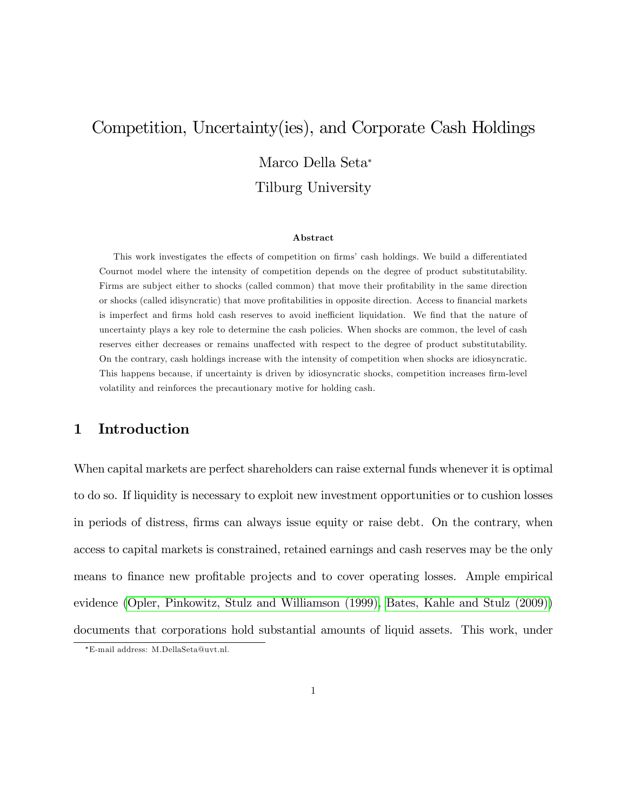# <span id="page-0-0"></span>Competition, Uncertainty(ies), and Corporate Cash Holdings Marco Della Seta Tilburg University

#### Abstract

This work investigates the effects of competition on firms' cash holdings. We build a differentiated Cournot model where the intensity of competition depends on the degree of product substitutability. Firms are subject either to shocks (called common) that move their profitability in the same direction or shocks (called idisyncratic) that move profitabilities in opposite direction. Access to financial markets is imperfect and firms hold cash reserves to avoid inefficient liquidation. We find that the nature of uncertainty plays a key role to determine the cash policies. When shocks are common, the level of cash reserves either decreases or remains unaffected with respect to the degree of product substitutability. On the contrary, cash holdings increase with the intensity of competition when shocks are idiosyncratic. This happens because, if uncertainty is driven by idiosyncratic shocks, competition increases firm-level volatility and reinforces the precautionary motive for holding cash.

# 1 Introduction

When capital markets are perfect shareholders can raise external funds whenever it is optimal to do so. If liquidity is necessary to exploit new investment opportunities or to cushion losses in periods of distress, firms can always issue equity or raise debt. On the contrary, when access to capital markets is constrained, retained earnings and cash reserves may be the only means to finance new profitable projects and to cover operating losses. Ample empirical evidence [\(Opler, Pinkowitz, Stulz and Williamson \(1999\),](#page-41-0) [Bates, Kahle and Stulz \(2009\)\)](#page-39-0) documents that corporations hold substantial amounts of liquid assets. This work, under

E-mail address: M.DellaSeta@uvt.nl.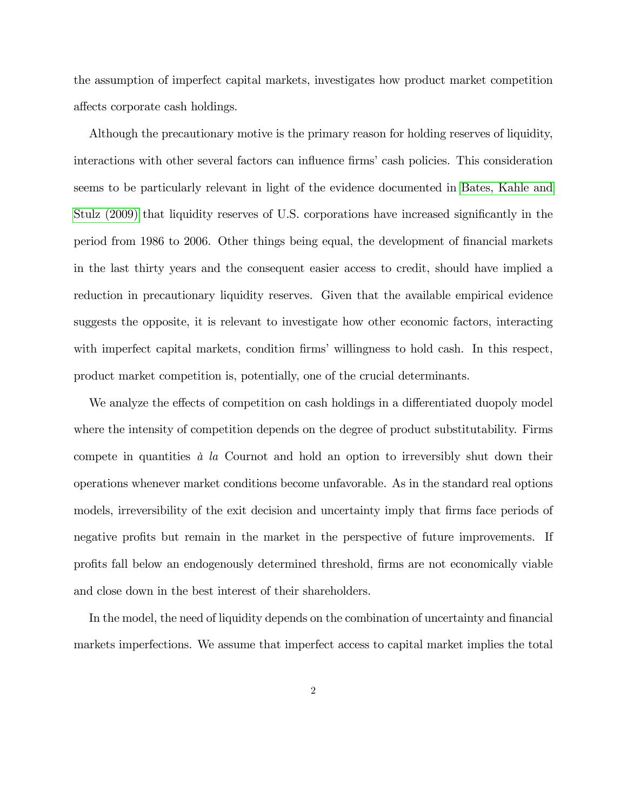the assumption of imperfect capital markets, investigates how product market competition affects corporate cash holdings.

Although the precautionary motive is the primary reason for holding reserves of liquidity, interactions with other several factors can influence firms' cash policies. This consideration seems to be particularly relevant in light of the evidence documented in [Bates, Kahle and](#page-39-0) [Stulz \(2009\)](#page-39-0) that liquidity reserves of U.S. corporations have increased significantly in the period from 1986 to 2006. Other things being equal, the development of Önancial markets in the last thirty years and the consequent easier access to credit, should have implied a reduction in precautionary liquidity reserves. Given that the available empirical evidence suggests the opposite, it is relevant to investigate how other economic factors, interacting with imperfect capital markets, condition firms' willingness to hold cash. In this respect, product market competition is, potentially, one of the crucial determinants.

We analyze the effects of competition on cash holdings in a differentiated duopoly model where the intensity of competition depends on the degree of product substitutability. Firms compete in quantities  $\dot{a}$  la Cournot and hold an option to irreversibly shut down their operations whenever market conditions become unfavorable. As in the standard real options models, irreversibility of the exit decision and uncertainty imply that firms face periods of negative profits but remain in the market in the perspective of future improvements. If proÖts fall below an endogenously determined threshold, Örms are not economically viable and close down in the best interest of their shareholders.

In the model, the need of liquidity depends on the combination of uncertainty and financial markets imperfections. We assume that imperfect access to capital market implies the total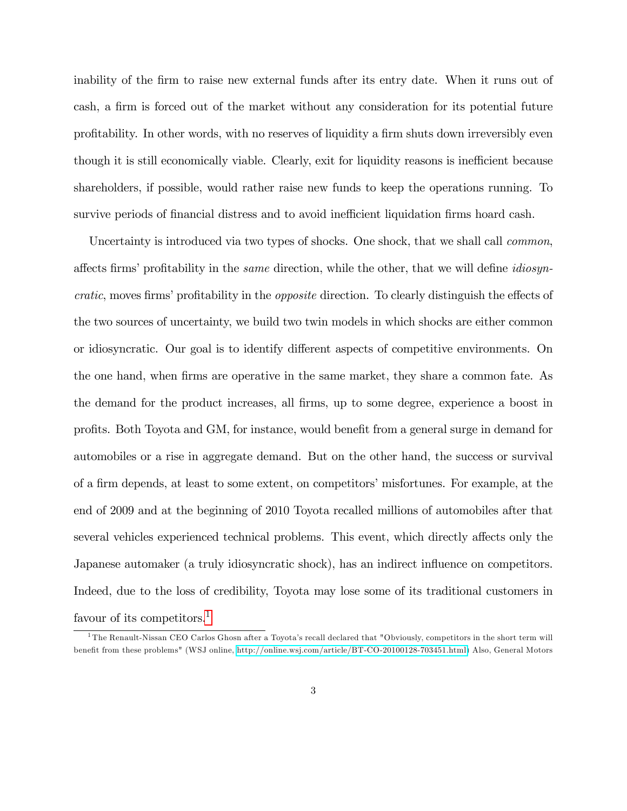inability of the firm to raise new external funds after its entry date. When it runs out of cash, a firm is forced out of the market without any consideration for its potential future profitability. In other words, with no reserves of liquidity a firm shuts down irreversibly even though it is still economically viable. Clearly, exit for liquidity reasons is inefficient because shareholders, if possible, would rather raise new funds to keep the operations running. To survive periods of financial distress and to avoid inefficient liquidation firms hoard cash.

Uncertainty is introduced via two types of shocks. One shock, that we shall call *common*, affects firms' profitability in the *same* direction, while the other, that we will define *idiosyn*cratic, moves firms' profitability in the *opposite* direction. To clearly distinguish the effects of the two sources of uncertainty, we build two twin models in which shocks are either common or idiosyncratic. Our goal is to identify different aspects of competitive environments. On the one hand, when firms are operative in the same market, they share a common fate. As the demand for the product increases, all firms, up to some degree, experience a boost in profits. Both Toyota and GM, for instance, would benefit from a general surge in demand for automobiles or a rise in aggregate demand. But on the other hand, the success or survival of a Örm depends, at least to some extent, on competitorsímisfortunes. For example, at the end of 2009 and at the beginning of 2010 Toyota recalled millions of automobiles after that several vehicles experienced technical problems. This event, which directly affects only the Japanese automaker (a truly idiosyncratic shock), has an indirect influence on competitors. Indeed, due to the loss of credibility, Toyota may lose some of its traditional customers in favour of its competitors.<sup>[1](#page-0-0)</sup>

<sup>&</sup>lt;sup>1</sup>The Renault-Nissan CEO Carlos Ghosn after a Toyota's recall declared that "Obviously, competitors in the short term will benefit from these problems" (WSJ online, [http://online.wsj.com/article/BT-CO-20100128-703451.html\)](http://online.wsj.com/article/BT-CO-20100128-703451.html) Also, General Motors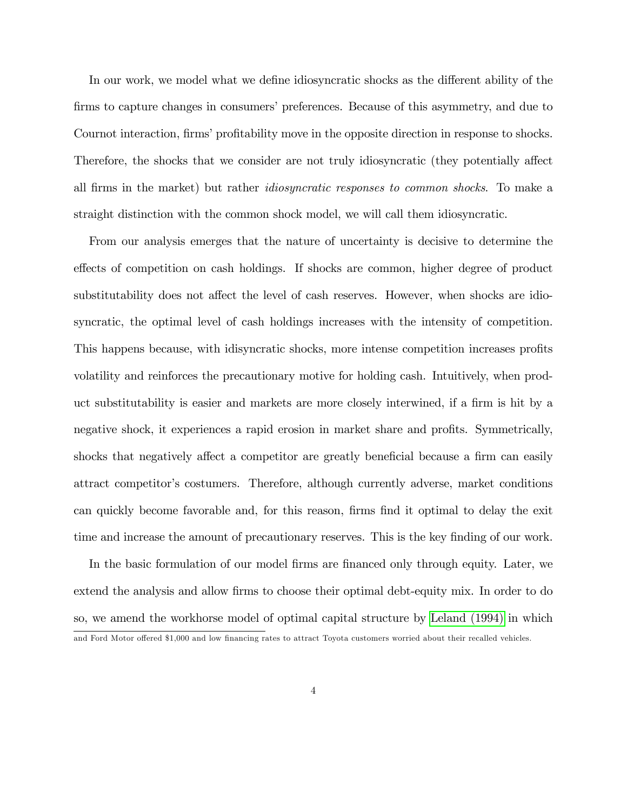In our work, we model what we define idiosyncratic shocks as the different ability of the firms to capture changes in consumers' preferences. Because of this asymmetry, and due to Cournot interaction, firms' profitability move in the opposite direction in response to shocks. Therefore, the shocks that we consider are not truly idiosyncratic (they potentially affect all Örms in the market) but rather idiosyncratic responses to common shocks. To make a straight distinction with the common shock model, we will call them idiosyncratic.

From our analysis emerges that the nature of uncertainty is decisive to determine the effects of competition on cash holdings. If shocks are common, higher degree of product substitutability does not affect the level of cash reserves. However, when shocks are idiosyncratic, the optimal level of cash holdings increases with the intensity of competition. This happens because, with idisyncratic shocks, more intense competition increases profits volatility and reinforces the precautionary motive for holding cash. Intuitively, when product substitutability is easier and markets are more closely interwined, if a firm is hit by a negative shock, it experiences a rapid erosion in market share and profits. Symmetrically, shocks that negatively affect a competitor are greatly beneficial because a firm can easily attract competitorís costumers. Therefore, although currently adverse, market conditions can quickly become favorable and, for this reason, firms find it optimal to delay the exit time and increase the amount of precautionary reserves. This is the key finding of our work.

In the basic formulation of our model firms are financed only through equity. Later, we extend the analysis and allow firms to choose their optimal debt-equity mix. In order to do so, we amend the workhorse model of optimal capital structure by [Leland \(1994\)](#page-41-1) in which

and Ford Motor offered \$1,000 and low financing rates to attract Toyota customers worried about their recalled vehicles.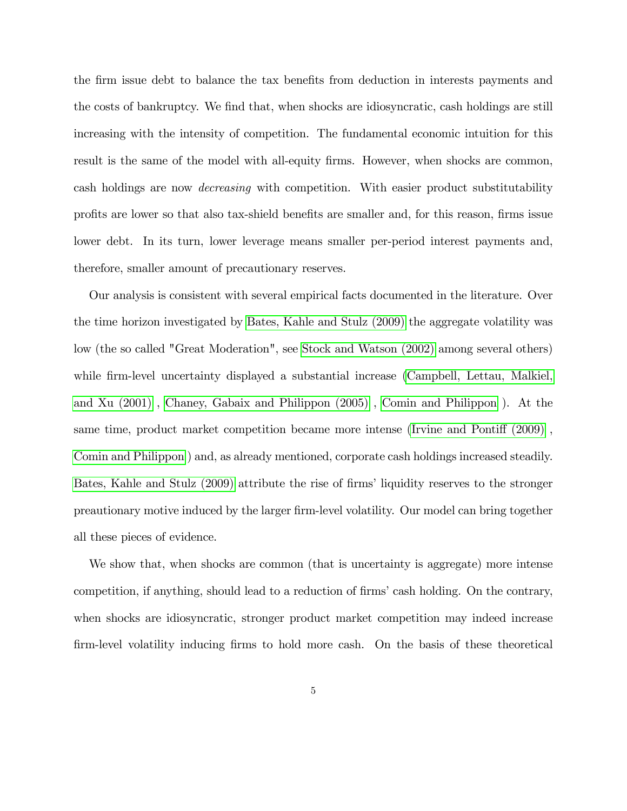the firm issue debt to balance the tax benefits from deduction in interests payments and the costs of bankruptcy. We find that, when shocks are idiosyncratic, cash holdings are still increasing with the intensity of competition. The fundamental economic intuition for this result is the same of the model with all-equity firms. However, when shocks are common, cash holdings are now decreasing with competition. With easier product substitutability profits are lower so that also tax-shield benefits are smaller and, for this reason, firms issue lower debt. In its turn, lower leverage means smaller per-period interest payments and, therefore, smaller amount of precautionary reserves.

Our analysis is consistent with several empirical facts documented in the literature. Over the time horizon investigated by [Bates, Kahle and Stulz \(2009\)](#page-39-0) the aggregate volatility was low (the so called "Great Moderation", see [Stock and Watson \(2002\)](#page-42-0) among several others) while firm-level uncertainty displayed a substantial increase [\(Campbell, Lettau, Malkiel,](#page-39-1) [and Xu \(2001\)](#page-39-1) , [Chaney, Gabaix and Philippon \(2005\)](#page-39-2) , [Comin and Philippon](#page-39-3) ). At the same time, product market competition became more intense (Irvine and Pontiff  $(2009)$ , [Comin and Philippon](#page-39-3) ) and, as already mentioned, corporate cash holdings increased steadily. [Bates, Kahle and Stulz \(2009\)](#page-39-0) attribute the rise of firms' liquidity reserves to the stronger preautionary motive induced by the larger Örm-level volatility. Our model can bring together all these pieces of evidence.

We show that, when shocks are common (that is uncertainty is aggregate) more intense competition, if anything, should lead to a reduction of firms' cash holding. On the contrary, when shocks are idiosyncratic, stronger product market competition may indeed increase firm-level volatility inducing firms to hold more cash. On the basis of these theoretical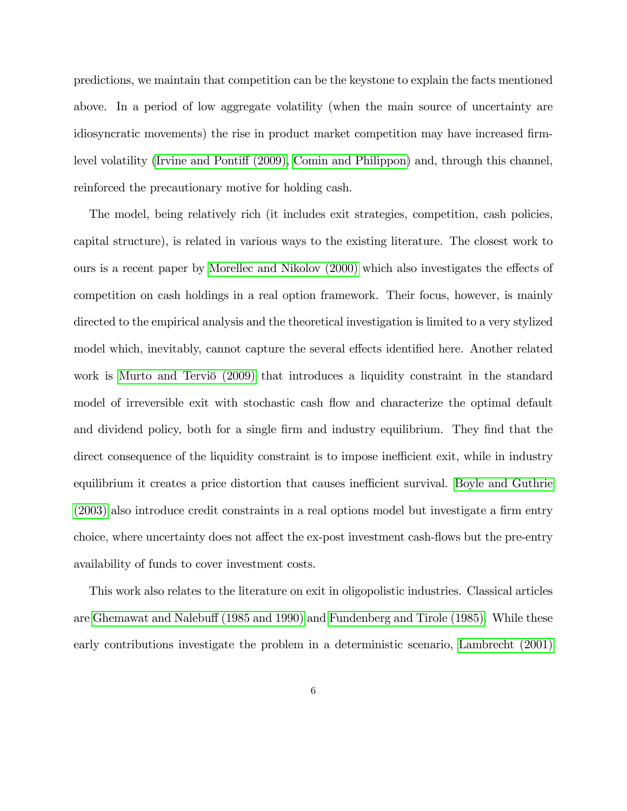predictions, we maintain that competition can be the keystone to explain the facts mentioned above. In a period of low aggregate volatility (when the main source of uncertainty are idiosyncratic movements) the rise in product market competition may have increased firm-level volatility (Irvine and Pontiff (2009), [Comin and Philippon\)](#page-39-3) and, through this channel, reinforced the precautionary motive for holding cash.

The model, being relatively rich (it includes exit strategies, competition, cash policies, capital structure), is related in various ways to the existing literature. The closest work to ours is a recent paper by [Morellec and Nikolov \(2000\)](#page-41-2) which also investigates the effects of competition on cash holdings in a real option framework. Their focus, however, is mainly directed to the empirical analysis and the theoretical investigation is limited to a very stylized model which, inevitably, cannot capture the several effects identified here. Another related work is Murto and Terviö (2009) that introduces a liquidity constraint in the standard model of irreversible exit with stochastic cash flow and characterize the optimal default and dividend policy, both for a single firm and industry equilibrium. They find that the direct consequence of the liquidity constraint is to impose inefficient exit, while in industry equilibrium it creates a price distortion that causes inefficient survival. [Boyle and Guthrie](#page-39-4)  $(2003)$  also introduce credit constraints in a real options model but investigate a firm entry choice, where uncertainty does not affect the ex-post investment cash-flows but the pre-entry availability of funds to cover investment costs.

This work also relates to the literature on exit in oligopolistic industries. Classical articles are Ghemawat and Nalebuff (1985 and 1990) and [Fundenberg and Tirole \(1985\).](#page-39-5) While these early contributions investigate the problem in a deterministic scenario, [Lambrecht \(2001\)](#page-40-2)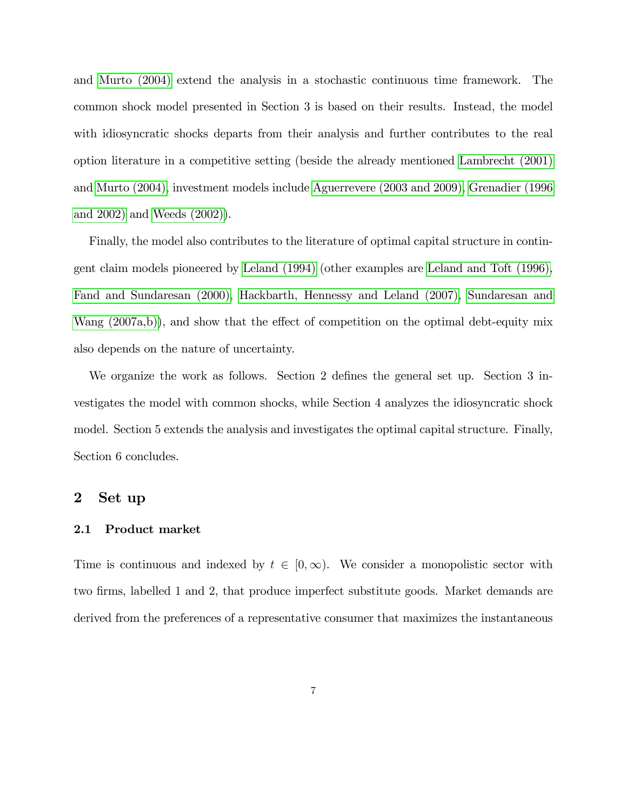and [Murto \(2004\)](#page-41-4) extend the analysis in a stochastic continuous time framework. The common shock model presented in Section 3 is based on their results. Instead, the model with idiosyncratic shocks departs from their analysis and further contributes to the real option literature in a competitive setting (beside the already mentioned [Lambrecht \(2001\)](#page-40-2) and [Murto \(2004\),](#page-41-4) investment models include [Aguerrevere \(2003 and 2009\),](#page-38-0) [Grenadier \(1996](#page-40-3) [and 2002\)](#page-40-3) and [Weeds \(2002\)\)](#page-42-1).

Finally, the model also contributes to the literature of optimal capital structure in contingent claim models pioneered by [Leland \(1994\)](#page-41-1) (other examples are [Leland and Toft \(1996\),](#page-41-5) [Fand and Sundaresan \(2000\),](#page-39-6) [Hackbarth, Hennessy and Leland \(2007\),](#page-40-4) [Sundaresan and](#page-42-2) Wang  $(2007a,b)$ , and show that the effect of competition on the optimal debt-equity mix also depends on the nature of uncertainty.

We organize the work as follows. Section 2 defines the general set up. Section  $3$  investigates the model with common shocks, while Section 4 analyzes the idiosyncratic shock model. Section 5 extends the analysis and investigates the optimal capital structure. Finally, Section 6 concludes.

## 2 Set up

#### 2.1 Product market

Time is continuous and indexed by  $t \in [0, \infty)$ . We consider a monopolistic sector with two firms, labelled 1 and 2, that produce imperfect substitute goods. Market demands are derived from the preferences of a representative consumer that maximizes the instantaneous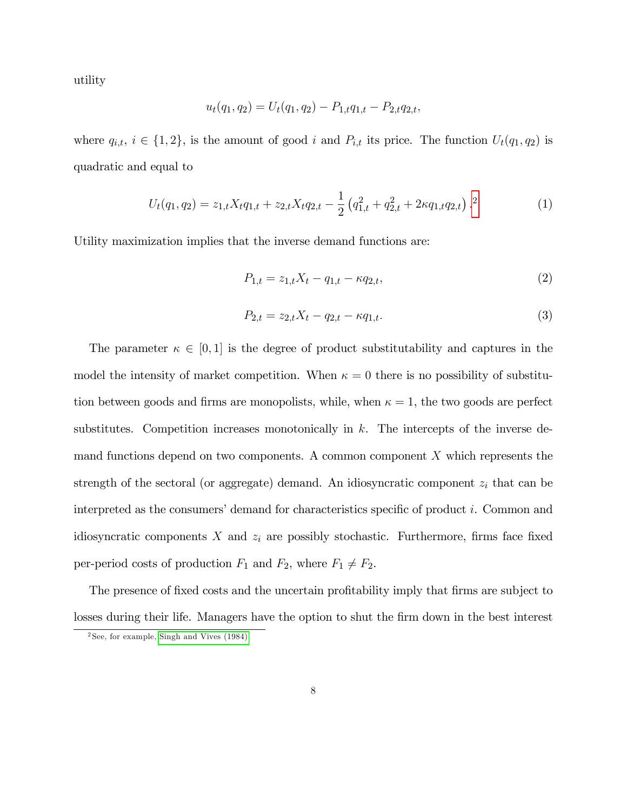utility

$$
u_t(q_1,q_2) = U_t(q_1,q_2) - P_{1,t}q_{1,t} - P_{2,t}q_{2,t},
$$

where  $q_{i,t}$ ,  $i \in \{1, 2\}$ , is the amount of good i and  $P_{i,t}$  its price. The function  $U_t(q_1, q_2)$  is quadratic and equal to

$$
U_t(q_1, q_2) = z_{1,t} X_t q_{1,t} + z_{2,t} X_t q_{2,t} - \frac{1}{2} \left( q_{1,t}^2 + q_{2,t}^2 + 2\kappa q_{1,t} q_{2,t} \right). \tag{1}
$$

Utility maximization implies that the inverse demand functions are:

$$
P_{1,t} = z_{1,t}X_t - q_{1,t} - \kappa q_{2,t},\tag{2}
$$

$$
P_{2,t} = z_{2,t}X_t - q_{2,t} - \kappa q_{1,t}.
$$
\n(3)

The parameter  $\kappa \in [0, 1]$  is the degree of product substitutability and captures in the model the intensity of market competition. When  $\kappa = 0$  there is no possibility of substitution between goods and firms are monopolists, while, when  $\kappa = 1$ , the two goods are perfect substitutes. Competition increases monotonically in  $k$ . The intercepts of the inverse demand functions depend on two components. A common component X which represents the strength of the sectoral (or aggregate) demand. An idiosyncratic component  $z_i$  that can be interpreted as the consumers' demand for characteristics specific of product i. Common and idiosyncratic components  $X$  and  $z_i$  are possibly stochastic. Furthermore, firms face fixed per-period costs of production  $F_1$  and  $F_2$ , where  $F_1 \neq F_2$ .

The presence of fixed costs and the uncertain profitability imply that firms are subject to losses during their life. Managers have the option to shut the firm down in the best interest

 $^{2} \mathrm{See},$  for example, [Singh and Vives \(1984\).](#page-42-3)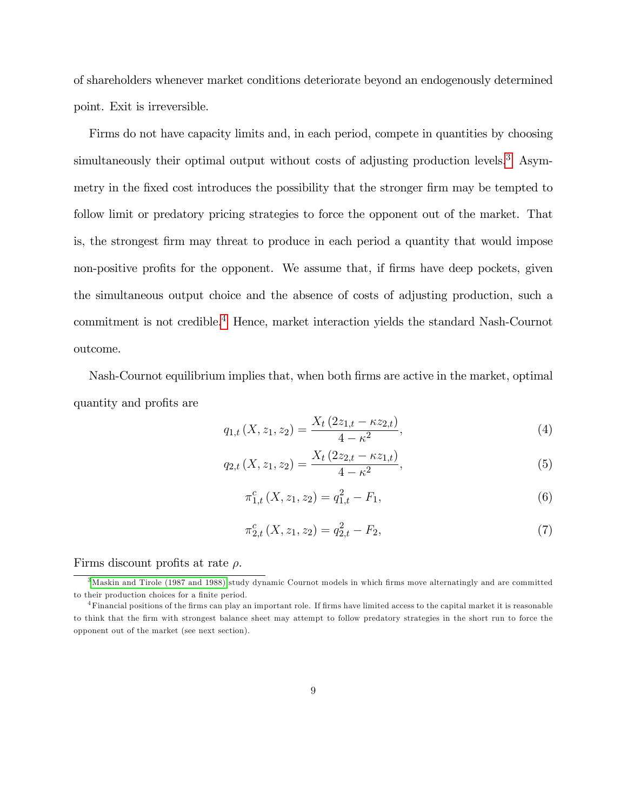of shareholders whenever market conditions deteriorate beyond an endogenously determined point. Exit is irreversible.

Firms do not have capacity limits and, in each period, compete in quantities by choosing simultaneously their optimal output without costs of adjusting production levels.<sup>[3](#page-0-0)</sup> Asymmetry in the fixed cost introduces the possibility that the stronger firm may be tempted to follow limit or predatory pricing strategies to force the opponent out of the market. That is, the strongest Örm may threat to produce in each period a quantity that would impose non-positive profits for the opponent. We assume that, if firms have deep pockets, given the simultaneous output choice and the absence of costs of adjusting production, such a commitment is not credible.[4](#page-0-0) Hence, market interaction yields the standard Nash-Cournot outcome.

Nash-Cournot equilibrium implies that, when both firms are active in the market, optimal quantity and profits are

<span id="page-8-0"></span>
$$
q_{1,t}(X, z_1, z_2) = \frac{X_t (2z_{1,t} - \kappa z_{2,t})}{4 - \kappa^2},\tag{4}
$$

<span id="page-8-1"></span>
$$
q_{2,t}(X, z_1, z_2) = \frac{X_t (2z_{2,t} - \kappa z_{1,t})}{4 - \kappa^2},\tag{5}
$$

$$
\pi_{1,t}^{c}(X, z_1, z_2) = q_{1,t}^{2} - F_1,\tag{6}
$$

$$
\pi_{2,t}^c(X, z_1, z_2) = q_{2,t}^2 - F_2,\tag{7}
$$

## Firms discount profits at rate  $\rho$ .

<sup>&</sup>lt;sup>3</sup>[Maskin and Tirole \(1987 and 1988\)](#page-41-6) study dynamic Cournot models in which firms move alternatingly and are committed to their production choices for a finite period.

 $4$ Financial positions of the firms can play an important role. If firms have limited access to the capital market it is reasonable to think that the Örm with strongest balance sheet may attempt to follow predatory strategies in the short run to force the opponent out of the market (see next section).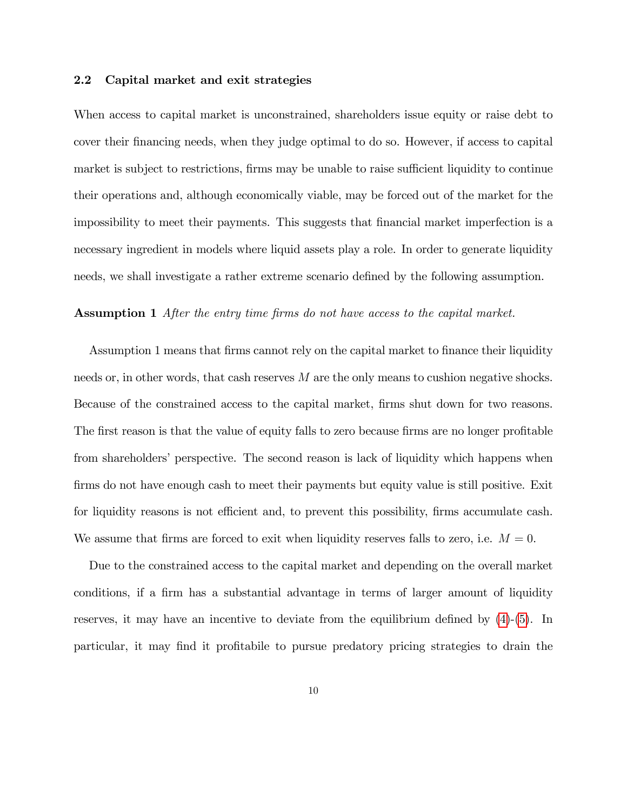#### 2.2 Capital market and exit strategies

When access to capital market is unconstrained, shareholders issue equity or raise debt to cover their Önancing needs, when they judge optimal to do so. However, if access to capital market is subject to restrictions, firms may be unable to raise sufficient liquidity to continue their operations and, although economically viable, may be forced out of the market for the impossibility to meet their payments. This suggests that financial market imperfection is a necessary ingredient in models where liquid assets play a role. In order to generate liquidity needs, we shall investigate a rather extreme scenario defined by the following assumption.

#### Assumption 1 After the entry time firms do not have access to the capital market.

Assumption 1 means that firms cannot rely on the capital market to finance their liquidity needs or, in other words, that cash reserves M are the only means to cushion negative shocks. Because of the constrained access to the capital market, firms shut down for two reasons. The first reason is that the value of equity falls to zero because firms are no longer profitable from shareholders' perspective. The second reason is lack of liquidity which happens when firms do not have enough cash to meet their payments but equity value is still positive. Exit for liquidity reasons is not efficient and, to prevent this possibility, firms accumulate cash. We assume that firms are forced to exit when liquidity reserves falls to zero, i.e.  $M = 0$ .

Due to the constrained access to the capital market and depending on the overall market conditions, if a firm has a substantial advantage in terms of larger amount of liquidity reserves, it may have an incentive to deviate from the equilibrium defined by  $(4)-(5)$  $(4)-(5)$  $(4)-(5)$ . In particular, it may find it profitabile to pursue predatory pricing strategies to drain the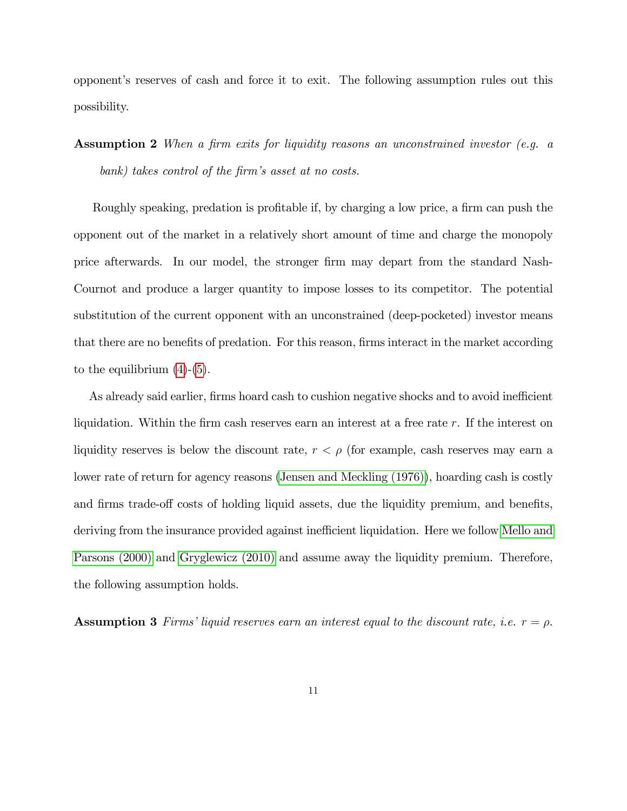opponent's reserves of cash and force it to exit. The following assumption rules out this possibility.

**Assumption 2** When a firm exits for liquidity reasons an unconstrained investor (e.g. a bank) takes control of the firm's asset at no costs.

Roughly speaking, predation is profitable if, by charging a low price, a firm can push the opponent out of the market in a relatively short amount of time and charge the monopoly price afterwards. In our model, the stronger Örm may depart from the standard Nash-Cournot and produce a larger quantity to impose losses to its competitor. The potential substitution of the current opponent with an unconstrained (deep-pocketed) investor means that there are no benefits of predation. For this reason, firms interact in the market according to the equilibrium  $(4)-(5)$  $(4)-(5)$  $(4)-(5)$ .

As already said earlier, firms hoard cash to cushion negative shocks and to avoid inefficient liquidation. Within the firm cash reserves earn an interest at a free rate  $r$ . If the interest on liquidity reserves is below the discount rate,  $r < \rho$  (for example, cash reserves may earn a lower rate of return for agency reasons [\(Jensen and Meckling \(1976\)\)](#page-40-5), hoarding cash is costly and firms trade-off costs of holding liquid assets, due the liquidity premium, and benefits, deriving from the insurance provided against inefficient liquidation. Here we follow [Mello and](#page-41-7) [Parsons \(2000\)](#page-41-7) and [Gryglewicz \(2010\)](#page-40-6) and assume away the liquidity premium. Therefore, the following assumption holds.

**Assumption 3** Firms' liquid reserves earn an interest equal to the discount rate, i.e.  $r = \rho$ .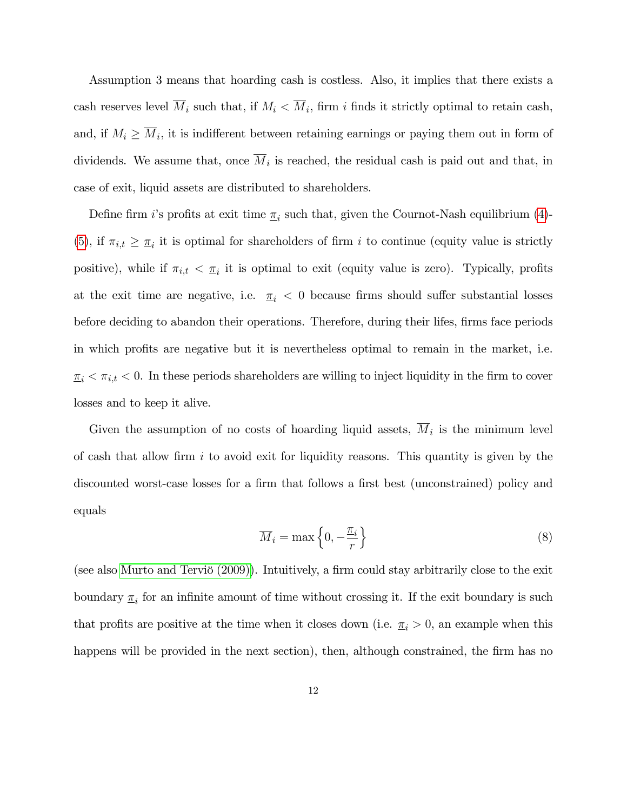Assumption 3 means that hoarding cash is costless. Also, it implies that there exists a cash reserves level  $M_i$  such that, if  $M_i \lt M_i$ , firm i finds it strictly optimal to retain cash, and, if  $M_i \geq M_i$ , it is indifferent between retaining earnings or paying them out in form of dividends. We assume that, once  $M_i$  is reached, the residual cash is paid out and that, in case of exit, liquid assets are distributed to shareholders.

Define firm *i*'s profits at exit time  $\underline{\pi}_i$  such that, given the Cournot-Nash equilibrium [\(4\)](#page-8-0)-[\(5\)](#page-8-1), if  $\pi_{i,t} \geq \pi_i$  it is optimal for shareholders of firm i to continue (equity value is strictly positive), while if  $\pi_{i,t} < \underline{\pi}_i$  it is optimal to exit (equity value is zero). Typically, profits at the exit time are negative, i.e.  $\pi_i < 0$  because firms should suffer substantial losses before deciding to abandon their operations. Therefore, during their lifes, firms face periods in which profits are negative but it is nevertheless optimal to remain in the market, i.e.  $\overline{\alpha}_i < \pi_{i,t} < 0$ . In these periods shareholders are willing to inject liquidity in the firm to cover losses and to keep it alive.

Given the assumption of no costs of hoarding liquid assets,  $M_i$  is the minimum level of cash that allow firm i to avoid exit for liquidity reasons. This quantity is given by the discounted worst-case losses for a firm that follows a first best (unconstrained) policy and equals

<span id="page-11-0"></span>
$$
\overline{M}_i = \max\left\{0, -\frac{\pi_i}{r}\right\} \tag{8}
$$

(see also Murto and Terviö  $(2009)$ ). Intuitively, a firm could stay arbitrarily close to the exit boundary  $\underline{\pi}_i$  for an infinite amount of time without crossing it. If the exit boundary is such that profits are positive at the time when it closes down (i.e.  $\pi_i > 0$ , an example when this happens will be provided in the next section), then, although constrained, the firm has no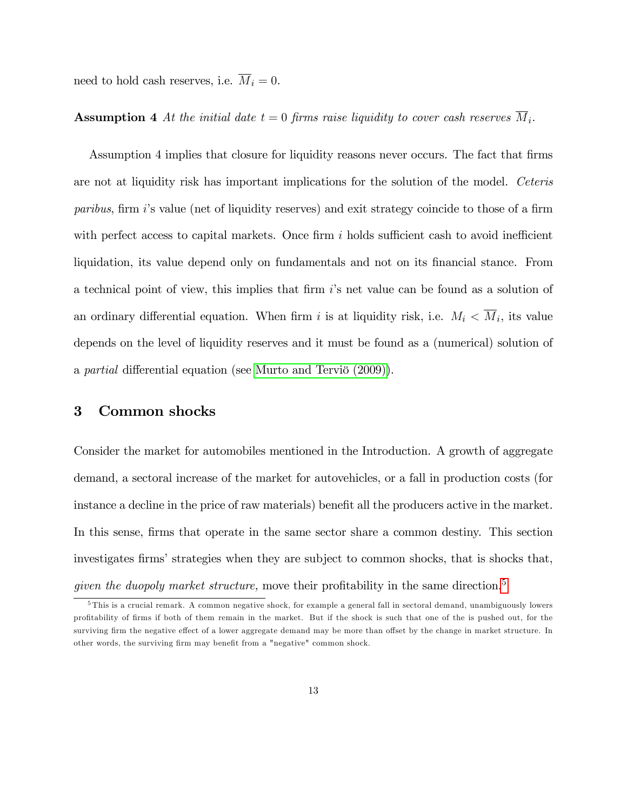need to hold cash reserves, i.e.  $\overline{M}_i = 0$ .

## **Assumption 4** At the initial date  $t = 0$  firms raise liquidity to cover cash reserves  $M_i$ .

Assumption 4 implies that closure for liquidity reasons never occurs. The fact that firms are not at liquidity risk has important implications for the solution of the model. Ceteris paribus, firm is value (net of liquidity reserves) and exit strategy coincide to those of a firm with perfect access to capital markets. Once firm  $i$  holds sufficient cash to avoid inefficient liquidation, its value depend only on fundamentals and not on its financial stance. From a technical point of view, this implies that firm  $i$ 's net value can be found as a solution of an ordinary differential equation. When firm i is at liquidity risk, i.e.  $M_i \leq M_i$ , its value depends on the level of liquidity reserves and it must be found as a (numerical) solution of a partial differential equation (see Murto and Terviö  $(2009)$ ).

## 3 Common shocks

Consider the market for automobiles mentioned in the Introduction. A growth of aggregate demand, a sectoral increase of the market for autovehicles, or a fall in production costs (for instance a decline in the price of raw materials) benefit all the producers active in the market. In this sense, firms that operate in the same sector share a common destiny. This section investigates firms' strategies when they are subject to common shocks, that is shocks that, given the duopoly market structure, move their profitability in the same direction.<sup>[5](#page-0-0)</sup>

 $5$ This is a crucial remark. A common negative shock, for example a general fall in sectoral demand, unambiguously lowers proÖtability of Örms if both of them remain in the market. But if the shock is such that one of the is pushed out, for the surviving firm the negative effect of a lower aggregate demand may be more than offset by the change in market structure. In other words, the surviving firm may benefit from a "negative" common shock.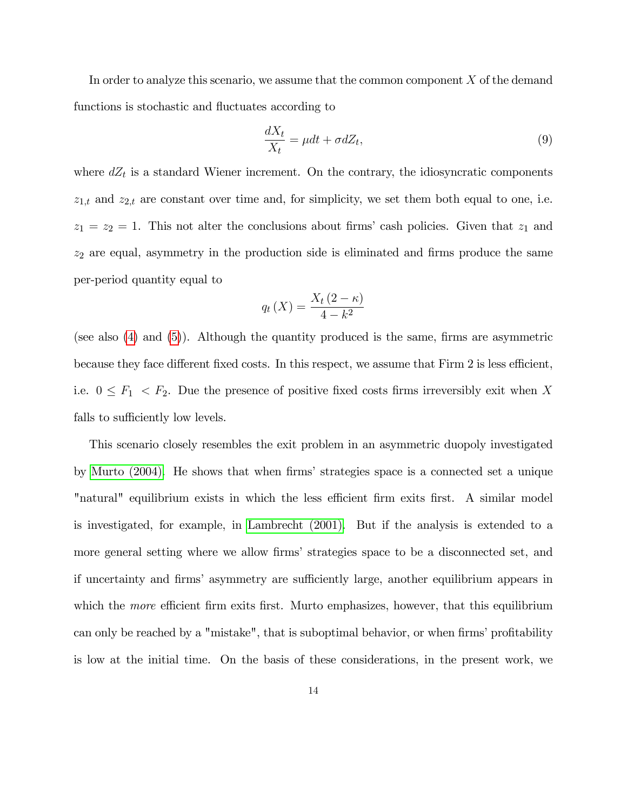In order to analyze this scenario, we assume that the common component  $X$  of the demand functions is stochastic and fluctuates according to

<span id="page-13-0"></span>
$$
\frac{dX_t}{X_t} = \mu dt + \sigma dZ_t,\tag{9}
$$

where  $dZ_t$  is a standard Wiener increment. On the contrary, the idiosyncratic components  $z_{1,t}$  and  $z_{2,t}$  are constant over time and, for simplicity, we set them both equal to one, i.e.  $z_1 = z_2 = 1$ . This not alter the conclusions about firms' cash policies. Given that  $z_1$  and  $z_2$  are equal, asymmetry in the production side is eliminated and firms produce the same per-period quantity equal to

$$
q_t(X) = \frac{X_t(2-\kappa)}{4-k^2}
$$

(see also  $(4)$  and  $(5)$ ). Although the quantity produced is the same, firms are asymmetric because they face different fixed costs. In this respect, we assume that Firm 2 is less efficient, i.e.  $0 \leq F_1 \leq F_2$ . Due the presence of positive fixed costs firms irreversibly exit when X falls to sufficiently low levels.

This scenario closely resembles the exit problem in an asymmetric duopoly investigated by [Murto \(2004\).](#page-41-4) He shows that when firms' strategies space is a connected set a unique "natural" equilibrium exists in which the less efficient firm exits first. A similar model is investigated, for example, in [Lambrecht \(2001\).](#page-40-2) But if the analysis is extended to a more general setting where we allow firms' strategies space to be a disconnected set, and if uncertainty and firms' asymmetry are sufficiently large, another equilibrium appears in which the *more* efficient firm exits first. Murto emphasizes, however, that this equilibrium can only be reached by a "mistake", that is suboptimal behavior, or when firms' profitability is low at the initial time. On the basis of these considerations, in the present work, we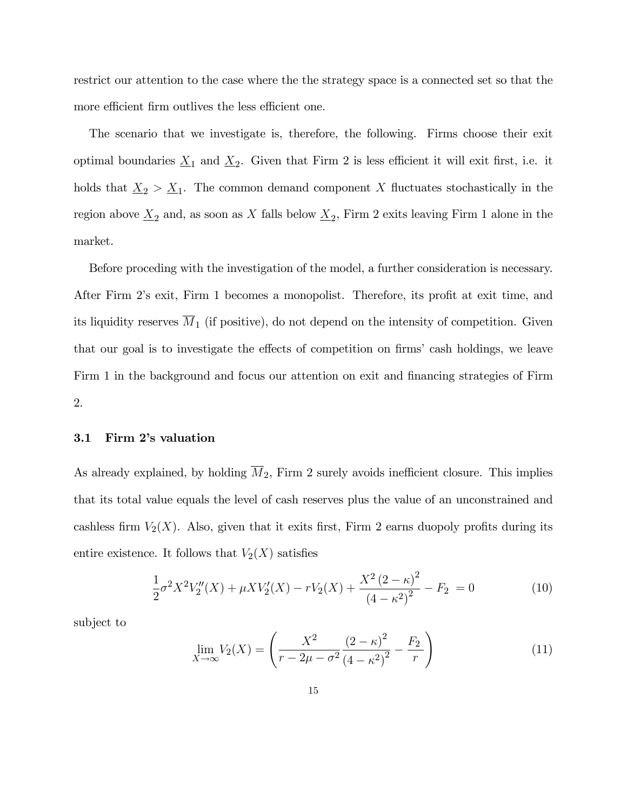restrict our attention to the case where the the strategy space is a connected set so that the more efficient firm outlives the less efficient one.

The scenario that we investigate is, therefore, the following. Firms choose their exit optimal boundaries  $\underline{X}_1$  and  $\underline{X}_2$ . Given that Firm 2 is less efficient it will exit first, i.e. it holds that  $\underline{X}_2 > \underline{X}_1$ . The common demand component X fluctuates stochastically in the region above  $\underline{X}_2$  and, as soon as X falls below  $\underline{X}_2$ , Firm 2 exits leaving Firm 1 alone in the market.

Before proceding with the investigation of the model, a further consideration is necessary. After Firm 2's exit, Firm 1 becomes a monopolist. Therefore, its profit at exit time, and its liquidity reserves  $\overline{M}_1$  (if positive), do not depend on the intensity of competition. Given that our goal is to investigate the effects of competition on firms' cash holdings, we leave Firm 1 in the background and focus our attention on exit and financing strategies of Firm 2.

#### 3.1 Firm 2's valuation

As already explained, by holding  $\overline{M}_2$ , Firm 2 surely avoids inefficient closure. This implies that its total value equals the level of cash reserves plus the value of an unconstrained and cashless firm  $V_2(X)$ . Also, given that it exits first, Firm 2 earns duopoly profits during its entire existence. It follows that  $V_2(X)$  satisfies

<span id="page-14-1"></span>
$$
\frac{1}{2}\sigma^2 X^2 V_2''(X) + \mu X V_2'(X) - r V_2(X) + \frac{X^2 (2 - \kappa)^2}{(4 - \kappa^2)^2} - F_2 = 0
$$
\n(10)

subject to

<span id="page-14-0"></span>
$$
\lim_{X \to \infty} V_2(X) = \left( \frac{X^2}{r - 2\mu - \sigma^2} \frac{(2 - \kappa)^2}{(4 - \kappa^2)^2} - \frac{F_2}{r} \right)
$$
(11)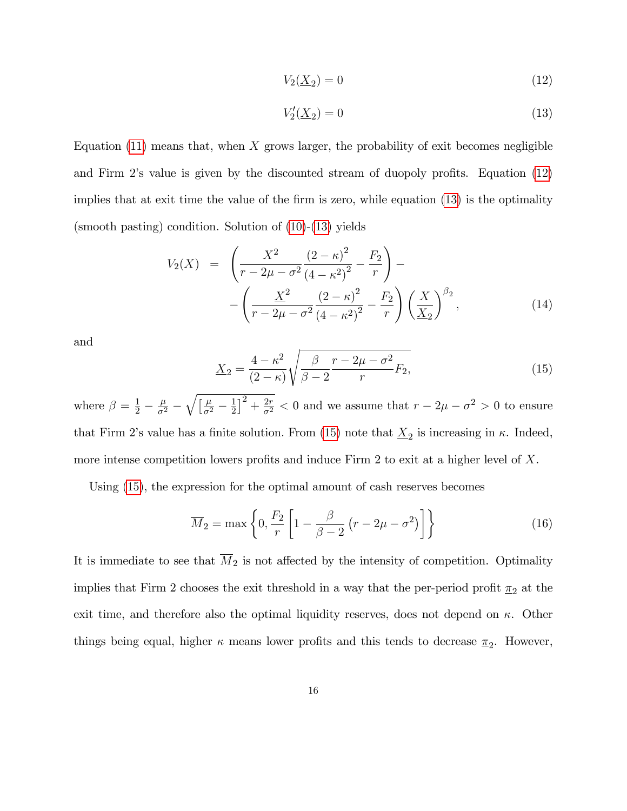<span id="page-15-1"></span><span id="page-15-0"></span>
$$
V_2(\underline{X}_2) = 0\tag{12}
$$

$$
V_2'(\underline{X}_2) = 0\tag{13}
$$

Equation  $(11)$  means that, when X grows larger, the probability of exit becomes negligible and Firm 2's value is given by the discounted stream of duopoly profits. Equation  $(12)$ implies that at exit time the value of the firm is zero, while equation  $(13)$  is the optimality (smooth pasting) condition. Solution of [\(10\)](#page-14-1)-[\(13\)](#page-15-1) yields

$$
V_2(X) = \left(\frac{X^2}{r - 2\mu - \sigma^2} \frac{(2 - \kappa)^2}{(4 - \kappa^2)^2} - \frac{F_2}{r}\right) - \left(\frac{X^2}{r - 2\mu - \sigma^2} \frac{(2 - \kappa)^2}{(4 - \kappa^2)^2} - \frac{F_2}{r}\right) \left(\frac{X}{X_2}\right)^{\beta_2},
$$
(14)

and

<span id="page-15-2"></span>
$$
\underline{X}_2 = \frac{4 - \kappa^2}{(2 - \kappa)} \sqrt{\frac{\beta}{\beta - 2} \frac{r - 2\mu - \sigma^2}{r}} F_2,\tag{15}
$$

where  $\beta = \frac{1}{2} - \frac{\mu}{\sigma^2} - \sqrt{\frac{\mu}{\sigma^2} - \frac{1}{2}}$  $\frac{1}{2}$  $\Big]^{2} + \frac{2r}{\sigma^{2}} < 0$  and we assume that  $r - 2\mu - \sigma^{2} > 0$  to ensure that Firm 2's value has a finite solution. From [\(15\)](#page-15-2) note that  $\underline{X}_2$  is increasing in  $\kappa$ . Indeed, more intense competition lowers profits and induce Firm 2 to exit at a higher level of  $X$ .

Using [\(15\)](#page-15-2), the expression for the optimal amount of cash reserves becomes

<span id="page-15-3"></span>
$$
\overline{M}_2 = \max\left\{0, \frac{F_2}{r} \left[1 - \frac{\beta}{\beta - 2} \left(r - 2\mu - \sigma^2\right)\right]\right\} \tag{16}
$$

It is immediate to see that  $\overline{M}_2$  is not affected by the intensity of competition. Optimality implies that Firm 2 chooses the exit threshold in a way that the per-period profit  $\underline{\pi}_2$  at the exit time, and therefore also the optimal liquidity reserves, does not depend on  $\kappa$ . Other things being equal, higher  $\kappa$  means lower profits and this tends to decrease  $\underline{\pi}_2$ . However,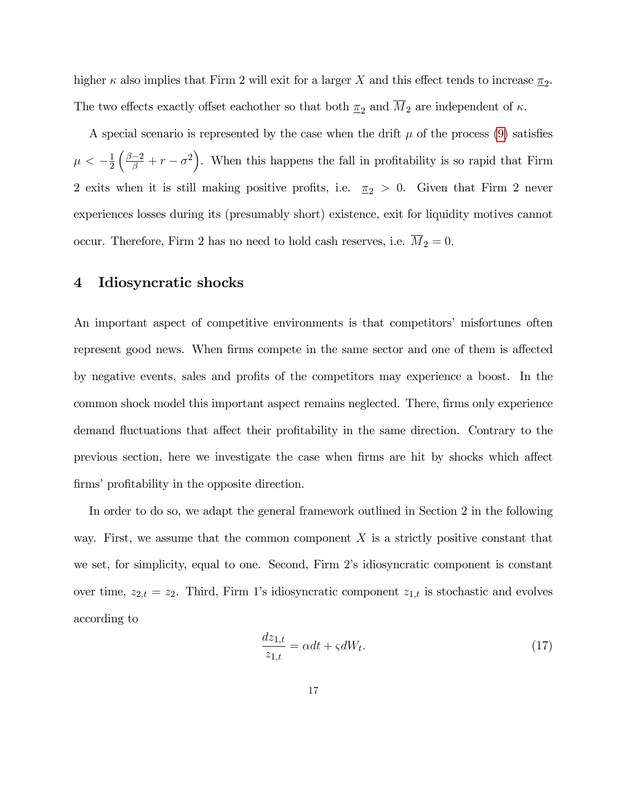higher  $\kappa$  also implies that Firm 2 will exit for a larger X and this effect tends to increase  $\underline{\pi}_2$ . The two effects exactly offset eachother so that both  $\underline{\pi}_2$  and  $\overline{M}_2$  are independent of  $\kappa$ .

A special scenario is represented by the case when the drift  $\mu$  of the process [\(9\)](#page-13-0) satisfies  $\mu < -\frac{1}{2}$ 2  $\left(\frac{\beta-2}{\beta}+r-\sigma^2\right)$ . When this happens the fall in profitability is so rapid that Firm 2 exits when it is still making positive profits, i.e.  $\pi_2 > 0$ . Given that Firm 2 never experiences losses during its (presumably short) existence, exit for liquidity motives cannot occur. Therefore, Firm 2 has no need to hold cash reserves, i.e.  $\overline{M}_2 = 0$ .

## 4 Idiosyncratic shocks

An important aspect of competitive environments is that competitors' misfortunes often represent good news. When firms compete in the same sector and one of them is affected by negative events, sales and profits of the competitors may experience a boost. In the common shock model this important aspect remains neglected. There, firms only experience demand fluctuations that affect their profitability in the same direction. Contrary to the previous section, here we investigate the case when firms are hit by shocks which affect firms' profitability in the opposite direction.

In order to do so, we adapt the general framework outlined in Section 2 in the following way. First, we assume that the common component  $X$  is a strictly positive constant that we set, for simplicity, equal to one. Second, Firm 2's idiosyncratic component is constant over time,  $z_{2,t} = z_2$ . Third, Firm 1's idiosyncratic component  $z_{1,t}$  is stochastic and evolves according to

$$
\frac{dz_{1,t}}{z_{1,t}} = \alpha dt + \varsigma dW_t.
$$
\n(17)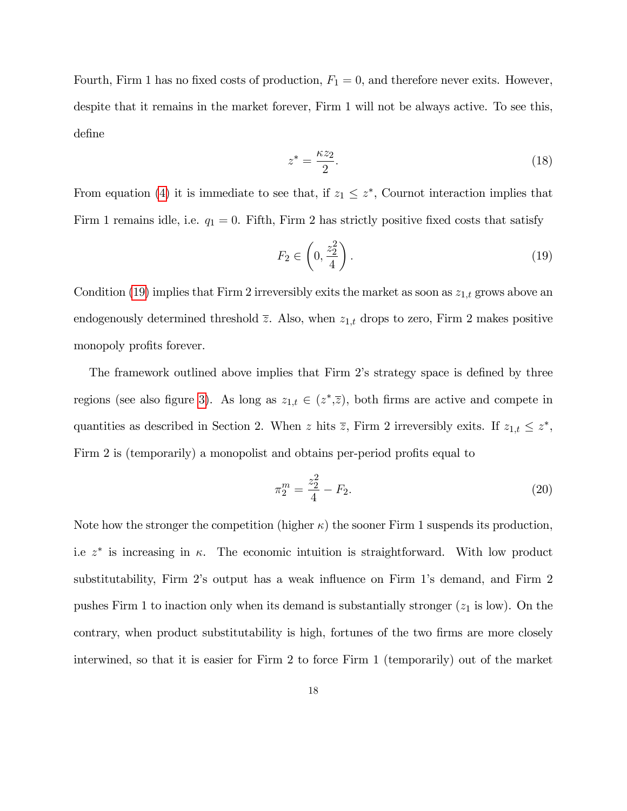Fourth, Firm 1 has no fixed costs of production,  $F_1 = 0$ , and therefore never exits. However, despite that it remains in the market forever, Firm 1 will not be always active. To see this, define

$$
z^* = \frac{\kappa z_2}{2}.\tag{18}
$$

From equation [\(4\)](#page-8-0) it is immediate to see that, if  $z_1 \leq z^*$ , Cournot interaction implies that Firm 1 remains idle, i.e.  $q_1 = 0$ . Fifth, Firm 2 has strictly positive fixed costs that satisfy

<span id="page-17-0"></span>
$$
F_2 \in \left(0, \frac{z_2^2}{4}\right). \tag{19}
$$

Condition [\(19\)](#page-17-0) implies that Firm 2 irreversibly exits the market as soon as  $z_{1,t}$  grows above an endogenously determined threshold  $\overline{z}$ . Also, when  $z_{1,t}$  drops to zero, Firm 2 makes positive monopoly profits forever.

The framework outlined above implies that Firm 2's strategy space is defined by three regions (see also figure [3](#page-20-0)). As long as  $z_{1,t} \in (z^*,\overline{z})$ , both firms are active and compete in quantities as described in Section 2. When z hits  $\overline{z}$ , Firm 2 irreversibly exits. If  $z_{1,t} \leq z^*$ , Firm 2 is (temporarily) a monopolist and obtains per-period profits equal to

$$
\pi_2^m = \frac{z_2^2}{4} - F_2. \tag{20}
$$

Note how the stronger the competition (higher  $\kappa$ ) the sooner Firm 1 suspends its production, i.e  $z^*$  is increasing in  $\kappa$ . The economic intuition is straightforward. With low product substitutability, Firm 2's output has a weak influence on Firm 1's demand, and Firm 2 pushes Firm 1 to inaction only when its demand is substantially stronger  $(z_1$  is low). On the contrary, when product substitutability is high, fortunes of the two firms are more closely interwined, so that it is easier for Firm 2 to force Firm 1 (temporarily) out of the market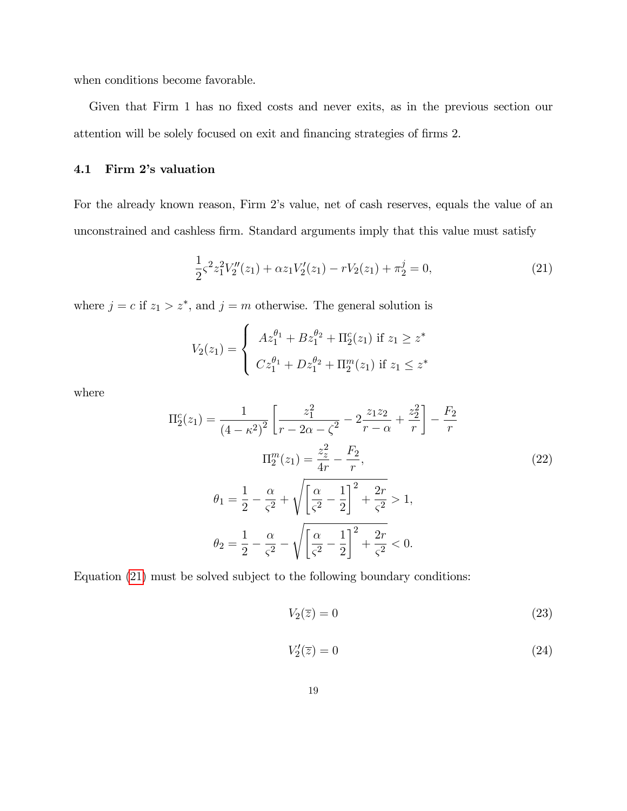when conditions become favorable.

Given that Firm 1 has no fixed costs and never exits, as in the previous section our attention will be solely focused on exit and financing strategies of firms 2.

# 4.1 Firm 2's valuation

For the already known reason, Firm 2's value, net of cash reserves, equals the value of an unconstrained and cashless firm. Standard arguments imply that this value must satisfy

<span id="page-18-0"></span>
$$
\frac{1}{2}\varsigma^2 z_1^2 V_2''(z_1) + \alpha z_1 V_2'(z_1) - r V_2(z_1) + \pi_2^j = 0,\tag{21}
$$

where  $j = c$  if  $z_1 > z^*$ , and  $j = m$  otherwise. The general solution is

$$
V_2(z_1) = \begin{cases} Az_1^{\theta_1} + Bz_1^{\theta_2} + \Pi_2^c(z_1) & \text{if } z_1 \geq z^*\\ Cz_1^{\theta_1} + Dz_1^{\theta_2} + \Pi_2^m(z_1) & \text{if } z_1 \leq z^* \end{cases}
$$

where

$$
\Pi_2^c(z_1) = \frac{1}{(4 - \kappa^2)^2} \left[ \frac{z_1^2}{r - 2\alpha - \zeta^2} - 2\frac{z_1 z_2}{r - \alpha} + \frac{z_2^2}{r} \right] - \frac{F_2}{r}
$$
  
\n
$$
\Pi_2^m(z_1) = \frac{z_z^2}{4r} - \frac{F_2}{r},
$$
  
\n
$$
\theta_1 = \frac{1}{2} - \frac{\alpha}{\zeta^2} + \sqrt{\left[ \frac{\alpha}{\zeta^2} - \frac{1}{2} \right]^2 + \frac{2r}{\zeta^2}} > 1,
$$
  
\n
$$
\theta_2 = \frac{1}{2} - \frac{\alpha}{\zeta^2} - \sqrt{\left[ \frac{\alpha}{\zeta^2} - \frac{1}{2} \right]^2 + \frac{2r}{\zeta^2}} < 0.
$$
\n(22)

Equation [\(21\)](#page-18-0) must be solved subject to the following boundary conditions:

<span id="page-18-1"></span>
$$
V_2(\overline{z}) = 0\tag{23}
$$

<span id="page-18-2"></span>
$$
V_2'(\overline{z}) = 0\tag{24}
$$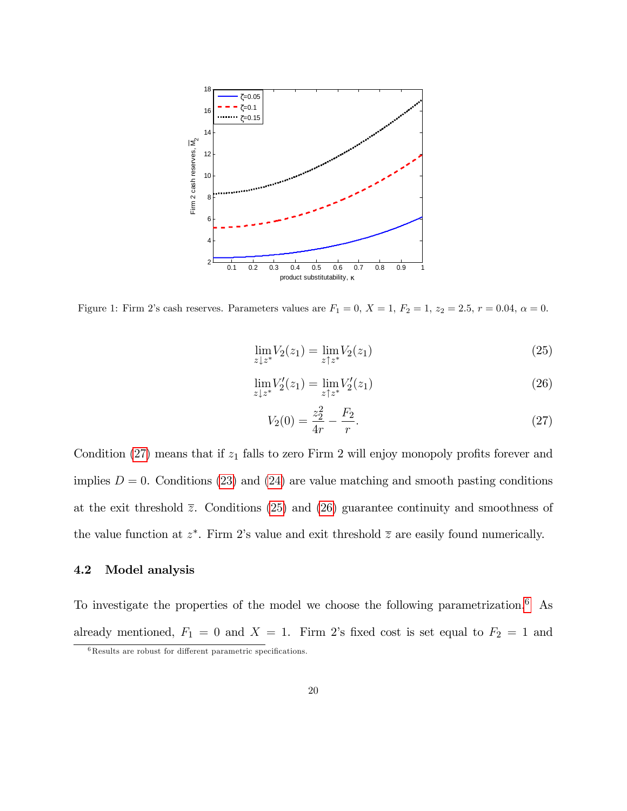

<span id="page-19-3"></span>Figure 1: Firm 2's cash reserves. Parameters values are  $F_1 = 0, X = 1, F_2 = 1, z_2 = 2.5, r = 0.04, \alpha = 0.$ 

<span id="page-19-1"></span>
$$
\lim_{z \downarrow z^*} V_2(z_1) = \lim_{z \uparrow z^*} V_2(z_1)
$$
\n(25)

<span id="page-19-2"></span>
$$
\lim_{z \downarrow z^*} V_2'(z_1) = \lim_{z \uparrow z^*} V_2'(z_1)
$$
\n(26)

<span id="page-19-0"></span>
$$
V_2(0) = \frac{z_2^2}{4r} - \frac{F_2}{r}.
$$
\n(27)

Condition  $(27)$  means that if  $z_1$  falls to zero Firm 2 will enjoy monopoly profits forever and implies  $D = 0$ . Conditions [\(23\)](#page-18-1) and [\(24\)](#page-18-2) are value matching and smooth pasting conditions at the exit threshold  $\overline{z}$ . Conditions [\(25\)](#page-19-1) and [\(26\)](#page-19-2) guarantee continuity and smoothness of the value function at  $z^*$ . Firm 2's value and exit threshold  $\overline{z}$  are easily found numerically.

#### 4.2 Model analysis

To investigate the properties of the model we choose the following parametrization.[6](#page-0-0) As already mentioned,  $F_1 = 0$  and  $X = 1$ . Firm 2's fixed cost is set equal to  $F_2 = 1$  and

 $6$ Results are robust for different parametric specifications.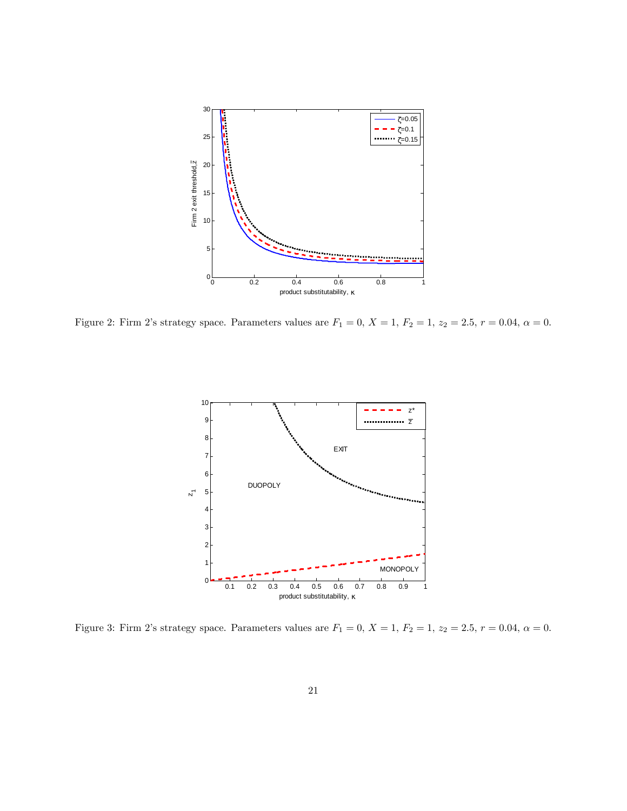

<span id="page-20-1"></span>Figure 2: Firm 2's strategy space. Parameters values are  $F_1 = 0$ ,  $X = 1$ ,  $F_2 = 1$ ,  $z_2 = 2.5$ ,  $r = 0.04$ ,  $\alpha = 0$ .



<span id="page-20-0"></span>Figure 3: Firm 2's strategy space. Parameters values are  $F_1 = 0$ ,  $X = 1$ ,  $F_2 = 1$ ,  $z_2 = 2.5$ ,  $r = 0.04$ ,  $\alpha = 0$ .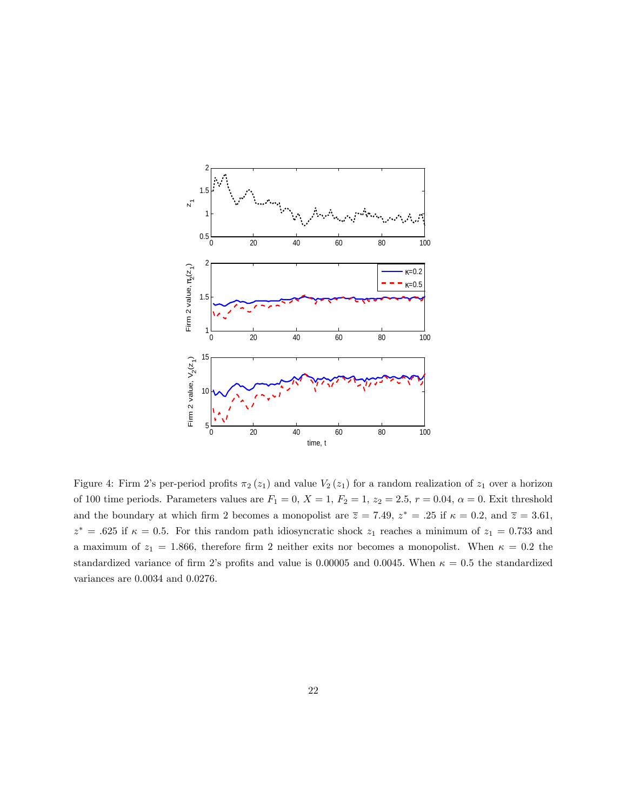

<span id="page-21-0"></span>Figure 4: Firm 2's per-period profits  $\pi_2(z_1)$  and value  $V_2(z_1)$  for a random realization of  $z_1$  over a horizon of 100 time periods. Parameters values are  $F_1 = 0$ ,  $X = 1$ ,  $F_2 = 1$ ,  $z_2 = 2.5$ ,  $r = 0.04$ ,  $\alpha = 0$ . Exit threshold and the boundary at which firm 2 becomes a monopolist are  $\overline{z} = 7.49$ ,  $z^* = .25$  if  $\kappa = 0.2$ , and  $\overline{z} = 3.61$ ,  $z^* = .625$  if  $\kappa = 0.5$ . For this random path idiosyncratic shock  $z_1$  reaches a minimum of  $z_1 = 0.733$  and a maximum of  $z_1 = 1.866$ , therefore firm 2 neither exits nor becomes a monopolist. When  $\kappa = 0.2$  the standardized variance of firm 2's profits and value is 0.00005 and 0.0045. When  $\kappa = 0.5$  the standardized variances are 0:0034 and 0:0276: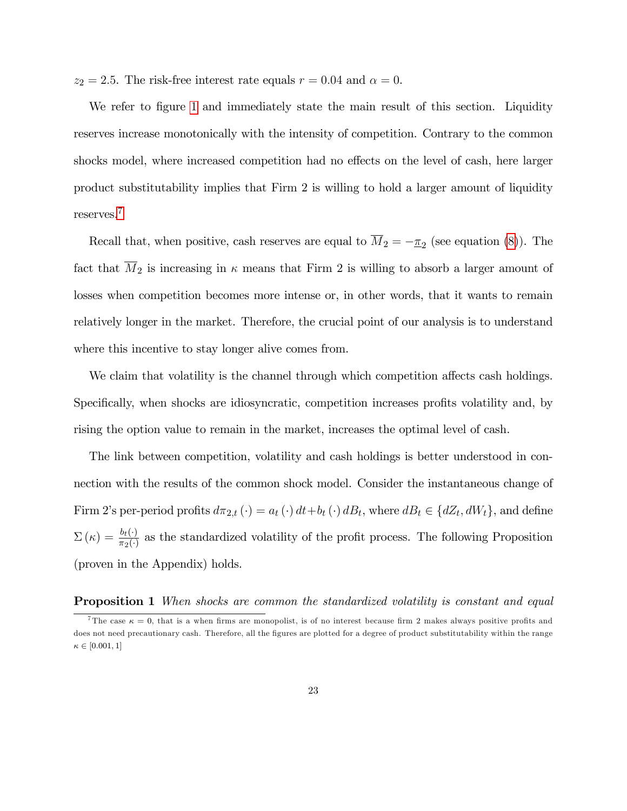$z_2 = 2.5$ . The risk-free interest rate equals  $r = 0.04$  and  $\alpha = 0$ .

We refer to figure [1](#page-19-3) and immediately state the main result of this section. Liquidity reserves increase monotonically with the intensity of competition. Contrary to the common shocks model, where increased competition had no effects on the level of cash, here larger product substitutability implies that Firm 2 is willing to hold a larger amount of liquidity reserves.[7](#page-0-0)

Recall that, when positive, cash reserves are equal to  $M_2 = -\pi_2$  (see equation [\(8\)](#page-11-0)). The fact that  $\overline{M}_2$  is increasing in  $\kappa$  means that Firm 2 is willing to absorb a larger amount of losses when competition becomes more intense or, in other words, that it wants to remain relatively longer in the market. Therefore, the crucial point of our analysis is to understand where this incentive to stay longer alive comes from.

We claim that volatility is the channel through which competition affects cash holdings. Specifically, when shocks are idiosyncratic, competition increases profits volatility and, by rising the option value to remain in the market, increases the optimal level of cash.

The link between competition, volatility and cash holdings is better understood in connection with the results of the common shock model. Consider the instantaneous change of Firm 2's per-period profits  $d\pi_{2,t}(\cdot) = a_t(\cdot) dt + b_t(\cdot) dB_t$ , where  $dB_t \in \{dZ_t, dW_t\}$ , and define  $\Sigma(\kappa) = \frac{b_t(\cdot)}{\pi_2(\cdot)}$  as the standardized volatility of the profit process. The following Proposition (proven in the Appendix) holds.

**Proposition 1** When shocks are common the standardized volatility is constant and equal

<sup>&</sup>lt;sup>7</sup>The case  $\kappa = 0$ , that is a when firms are monopolist, is of no interest because firm 2 makes always positive profits and does not need precautionary cash. Therefore, all the figures are plotted for a degree of product substitutability within the range  $\kappa \in [0.001, 1]$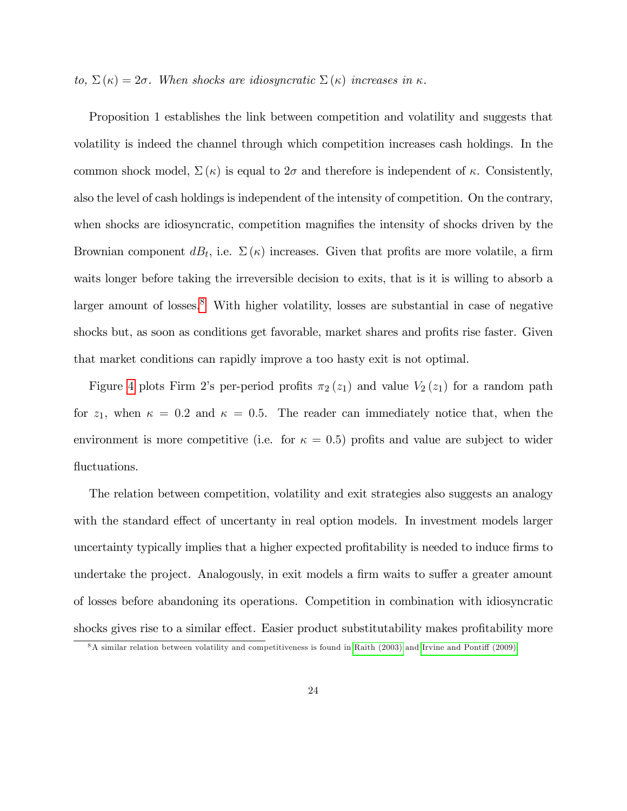to,  $\Sigma(\kappa) = 2\sigma$ . When shocks are idiosyncratic  $\Sigma(\kappa)$  increases in  $\kappa$ .

Proposition 1 establishes the link between competition and volatility and suggests that volatility is indeed the channel through which competition increases cash holdings. In the common shock model,  $\Sigma(\kappa)$  is equal to  $2\sigma$  and therefore is independent of  $\kappa$ . Consistently, also the level of cash holdings is independent of the intensity of competition. On the contrary, when shocks are idiosyncratic, competition magnifies the intensity of shocks driven by the Brownian component  $dB_t$ , i.e.  $\Sigma(\kappa)$  increases. Given that profits are more volatile, a firm waits longer before taking the irreversible decision to exits, that is it is willing to absorb a larger amount of losses. $8$  With higher volatility, losses are substantial in case of negative shocks but, as soon as conditions get favorable, market shares and profits rise faster. Given that market conditions can rapidly improve a too hasty exit is not optimal.

Figure [4](#page-21-0) plots Firm 2's per-period profits  $\pi_2(z_1)$  and value  $V_2(z_1)$  for a random path for  $z_1$ , when  $\kappa = 0.2$  and  $\kappa = 0.5$ . The reader can immediately notice that, when the environment is more competitive (i.e. for  $\kappa = 0.5$ ) profits and value are subject to wider fluctuations.

The relation between competition, volatility and exit strategies also suggests an analogy with the standard effect of uncertanty in real option models. In investment models larger uncertainty typically implies that a higher expected profitability is needed to induce firms to undertake the project. Analogously, in exit models a firm waits to suffer a greater amount of losses before abandoning its operations. Competition in combination with idiosyncratic shocks gives rise to a similar effect. Easier product substitutability makes profitability more

 $8A$  similar relation between volatility and competitiveness is found in [Raith \(2003\)](#page-41-8) and Irvine and Pontiff (2009).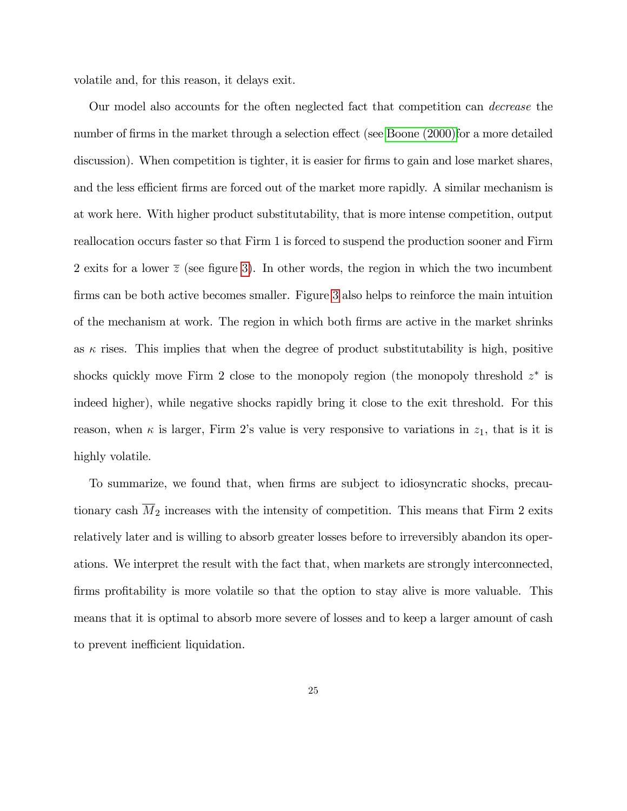volatile and, for this reason, it delays exit.

Our model also accounts for the often neglected fact that competition can decrease the number of firms in the market through a selection effect (see [Boone \(2000\)f](#page-39-7)or a more detailed discussion). When competition is tighter, it is easier for firms to gain and lose market shares, and the less efficient firms are forced out of the market more rapidly. A similar mechanism is at work here. With higher product substitutability, that is more intense competition, output reallocation occurs faster so that Firm 1 is forced to suspend the production sooner and Firm 2 exits for a lower  $\overline{z}$  (see figure [3](#page-20-0)). In other words, the region in which the two incumbent firms can be both active becomes smaller. Figure [3](#page-20-0) also helps to reinforce the main intuition of the mechanism at work. The region in which both Örms are active in the market shrinks as  $\kappa$  rises. This implies that when the degree of product substitutability is high, positive shocks quickly move Firm 2 close to the monopoly region (the monopoly threshold  $z^*$  is indeed higher), while negative shocks rapidly bring it close to the exit threshold. For this reason, when  $\kappa$  is larger, Firm 2's value is very responsive to variations in  $z_1$ , that is it is highly volatile.

To summarize, we found that, when firms are subject to idiosyncratic shocks, precautionary cash  $M_2$  increases with the intensity of competition. This means that Firm 2 exits relatively later and is willing to absorb greater losses before to irreversibly abandon its operations. We interpret the result with the fact that, when markets are strongly interconnected, firms profitability is more volatile so that the option to stay alive is more valuable. This means that it is optimal to absorb more severe of losses and to keep a larger amount of cash to prevent inefficient liquidation.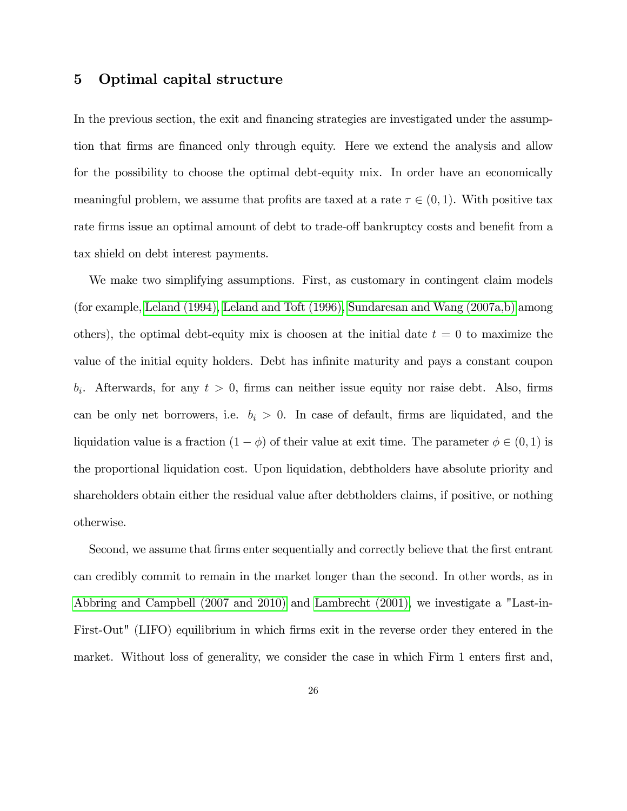## 5 Optimal capital structure

In the previous section, the exit and financing strategies are investigated under the assumption that firms are financed only through equity. Here we extend the analysis and allow for the possibility to choose the optimal debt-equity mix. In order have an economically meaningful problem, we assume that profits are taxed at a rate  $\tau \in (0,1)$ . With positive tax rate firms issue an optimal amount of debt to trade-off bankruptcy costs and benefit from a tax shield on debt interest payments.

We make two simplifying assumptions. First, as customary in contingent claim models (for example, [Leland \(1994\),](#page-41-1) [Leland and Toft \(1996\),](#page-41-5) [Sundaresan and Wang \(2007a,b\)](#page-42-2) among others), the optimal debt-equity mix is choosen at the initial date  $t = 0$  to maximize the value of the initial equity holders. Debt has infinite maturity and pays a constant coupon  $b_i$ . Afterwards, for any  $t > 0$ , firms can neither issue equity nor raise debt. Also, firms can be only net borrowers, i.e.  $b_i > 0$ . In case of default, firms are liquidated, and the liquidation value is a fraction  $(1 - \phi)$  of their value at exit time. The parameter  $\phi \in (0, 1)$  is the proportional liquidation cost. Upon liquidation, debtholders have absolute priority and shareholders obtain either the residual value after debtholders claims, if positive, or nothing otherwise.

Second, we assume that firms enter sequentially and correctly believe that the first entrant can credibly commit to remain in the market longer than the second. In other words, as in [Abbring and Campbell \(2007 and 2010\)](#page-38-1) and [Lambrecht \(2001\),](#page-40-2) we investigate a "Last-in-First-Out" (LIFO) equilibrium in which firms exit in the reverse order they entered in the market. Without loss of generality, we consider the case in which Firm 1 enters first and,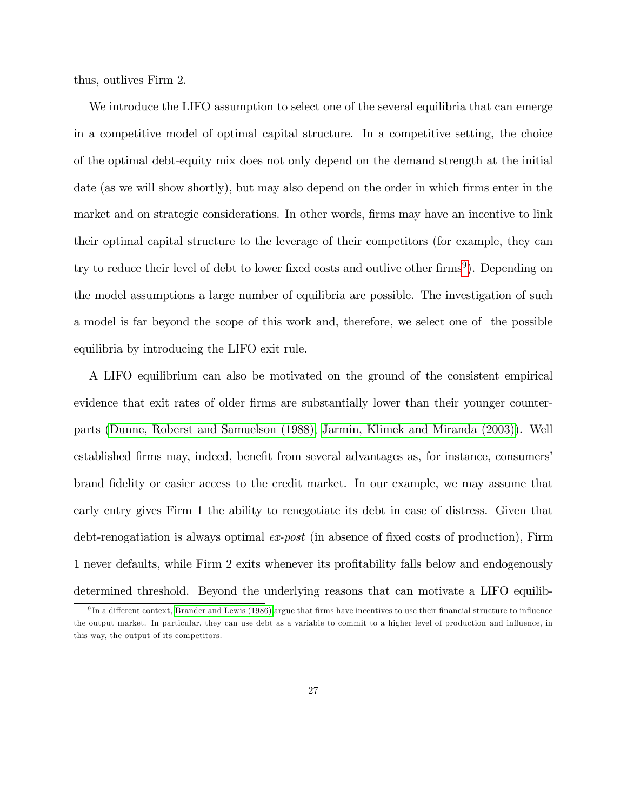thus, outlives Firm 2.

We introduce the LIFO assumption to select one of the several equilibria that can emerge in a competitive model of optimal capital structure. In a competitive setting, the choice of the optimal debt-equity mix does not only depend on the demand strength at the initial date (as we will show shortly), but may also depend on the order in which firms enter in the market and on strategic considerations. In other words, firms may have an incentive to link their optimal capital structure to the leverage of their competitors (for example, they can try to reduce their level of debt to lower fixed costs and outlive other firms<sup>[9](#page-0-0)</sup>). Depending on the model assumptions a large number of equilibria are possible. The investigation of such a model is far beyond the scope of this work and, therefore, we select one of the possible equilibria by introducing the LIFO exit rule.

A LIFO equilibrium can also be motivated on the ground of the consistent empirical evidence that exit rates of older firms are substantially lower than their younger counterparts [\(Dunne, Roberst and Samuelson \(1988\),](#page-39-8) [Jarmin, Klimek and Miranda \(2003\)\)](#page-40-7). Well established firms may, indeed, benefit from several advantages as, for instance, consumers' brand Ödelity or easier access to the credit market. In our example, we may assume that early entry gives Firm 1 the ability to renegotiate its debt in case of distress. Given that debt-renogatiation is always optimal  $ex\text{-}post$  (in absence of fixed costs of production), Firm 1 never defaults, while Firm 2 exits whenever its profitability falls below and endogenously determined threshold. Beyond the underlying reasons that can motivate a LIFO equilib-

 $9\,\text{In a different context, Brander and Lewis (1986) argue that firms have incentives to use their financial structure to influence the results of the system.}$  $9\,\text{In a different context, Brander and Lewis (1986) argue that firms have incentives to use their financial structure to influence the results of the system.}$  $9\,\text{In a different context, Brander and Lewis (1986) argue that firms have incentives to use their financial structure to influence the results of the system.}$ the output market. In particular, they can use debt as a variable to commit to a higher level of production and ináuence, in this way, the output of its competitors.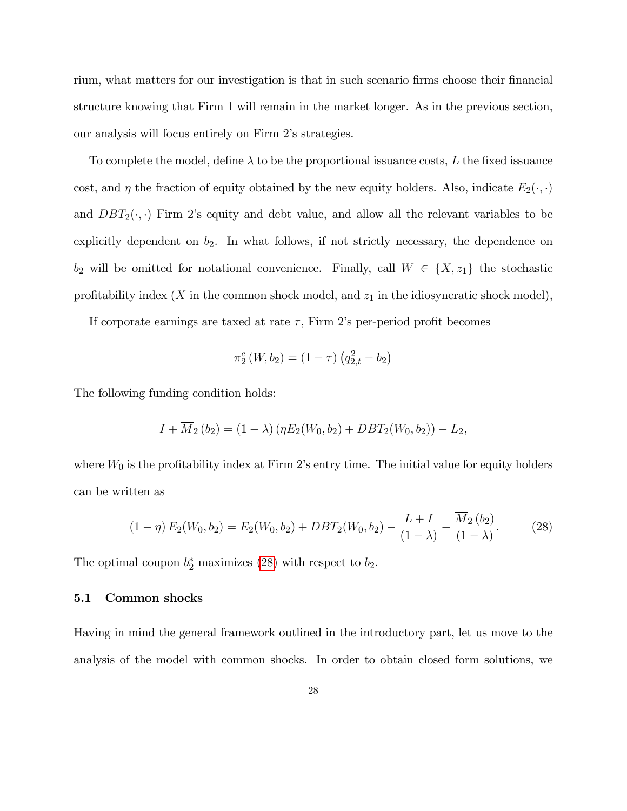rium, what matters for our investigation is that in such scenario firms choose their financial structure knowing that Firm 1 will remain in the market longer. As in the previous section, our analysis will focus entirely on Firm 2's strategies.

To complete the model, define  $\lambda$  to be the proportional issuance costs, L the fixed issuance cost, and  $\eta$  the fraction of equity obtained by the new equity holders. Also, indicate  $E_2(\cdot, \cdot)$ and  $DBT_2(\cdot, \cdot)$  Firm 2's equity and debt value, and allow all the relevant variables to be explicitly dependent on  $b_2$ . In what follows, if not strictly necessary, the dependence on  $b_2$  will be omitted for notational convenience. Finally, call  $W \in \{X, z_1\}$  the stochastic profitability index  $(X$  in the common shock model, and  $z_1$  in the idiosyncratic shock model),

If corporate earnings are taxed at rate  $\tau$ , Firm 2's per-period profit becomes

$$
\pi_2^c(W, b_2) = (1 - \tau) (q_{2,t}^2 - b_2)
$$

The following funding condition holds:

$$
I + \overline{M}_2(b_2) = (1 - \lambda) (\eta E_2(W_0, b_2) + DBT_2(W_0, b_2)) - L_2,
$$

where  $W_0$  is the profitability index at Firm 2's entry time. The initial value for equity holders can be written as

<span id="page-27-0"></span>
$$
(1 - \eta) E_2(W_0, b_2) = E_2(W_0, b_2) + DBT_2(W_0, b_2) - \frac{L + I}{(1 - \lambda)} - \frac{\overline{M}_2(b_2)}{(1 - \lambda)}.
$$
 (28)

The optimal coupon  $b_2^*$  maximizes [\(28\)](#page-27-0) with respect to  $b_2$ .

## 5.1 Common shocks

Having in mind the general framework outlined in the introductory part, let us move to the analysis of the model with common shocks. In order to obtain closed form solutions, we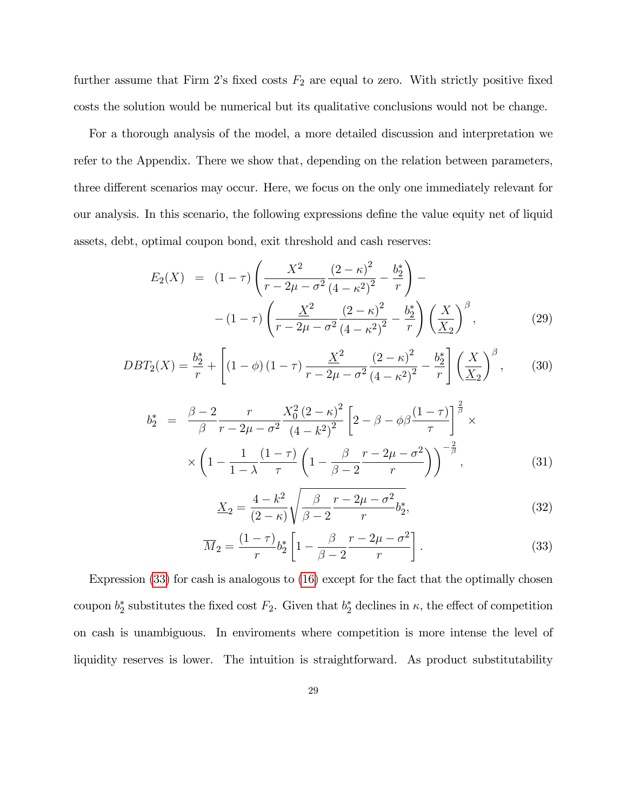further assume that Firm 2's fixed costs  $F_2$  are equal to zero. With strictly positive fixed costs the solution would be numerical but its qualitative conclusions would not be change.

For a thorough analysis of the model, a more detailed discussion and interpretation we refer to the Appendix. There we show that, depending on the relation between parameters, three different scenarios may occur. Here, we focus on the only one immediately relevant for our analysis. In this scenario, the following expressions define the value equity net of liquid assets, debt, optimal coupon bond, exit threshold and cash reserves:

$$
E_2(X) = (1 - \tau) \left( \frac{X^2}{r - 2\mu - \sigma^2} \frac{(2 - \kappa)^2}{(4 - \kappa^2)^2} - \frac{b_2^*}{r} \right) -
$$
  
- 
$$
(1 - \tau) \left( \frac{X^2}{r - 2\mu - \sigma^2} \frac{(2 - \kappa)^2}{(4 - \kappa^2)^2} - \frac{b_2^*}{r} \right) \left( \frac{X}{X_2} \right)^{\beta},
$$
(29)

$$
DBT_2(X) = \frac{b_2^*}{r} + \left[ (1 - \phi)(1 - \tau) \frac{\underline{X}^2}{r - 2\mu - \sigma^2} \frac{(2 - \kappa)^2}{(4 - \kappa^2)^2} - \frac{b_2^*}{r} \right] \left( \frac{X}{\underline{X}_2} \right)^{\beta},\tag{30}
$$

$$
b_2^* = \frac{\beta - 2}{\beta} \frac{r}{r - 2\mu - \sigma^2} \frac{X_0^2 (2 - \kappa)^2}{(4 - \kappa^2)^2} \left[ 2 - \beta - \phi \beta \frac{(1 - \tau)}{\tau} \right]^{\frac{2}{\beta}} \times \\ \times \left( 1 - \frac{1}{1 - \lambda} \frac{(1 - \tau)}{\tau} \left( 1 - \frac{\beta}{\beta - 2} \frac{r - 2\mu - \sigma^2}{r} \right) \right)^{-\frac{2}{\beta}}, \tag{31}
$$

$$
\underline{X}_2 = \frac{4 - k^2}{(2 - \kappa)} \sqrt{\frac{\beta}{\beta - 2} \frac{r - 2\mu - \sigma^2}{r} b_2^*,}
$$
\n(32)

<span id="page-28-0"></span>
$$
\overline{M}_2 = \frac{(1-\tau)}{r} b_2^* \left[ 1 - \frac{\beta}{\beta - 2} \frac{r - 2\mu - \sigma^2}{r} \right].
$$
\n(33)

Expression [\(33\)](#page-28-0) for cash is analogous to [\(16\)](#page-15-3) except for the fact that the optimally chosen coupon  $b_2^*$  substitutes the fixed cost  $F_2$ . Given that  $b_2^*$  declines in  $\kappa$ , the effect of competition on cash is unambiguous. In enviroments where competition is more intense the level of liquidity reserves is lower. The intuition is straightforward. As product substitutability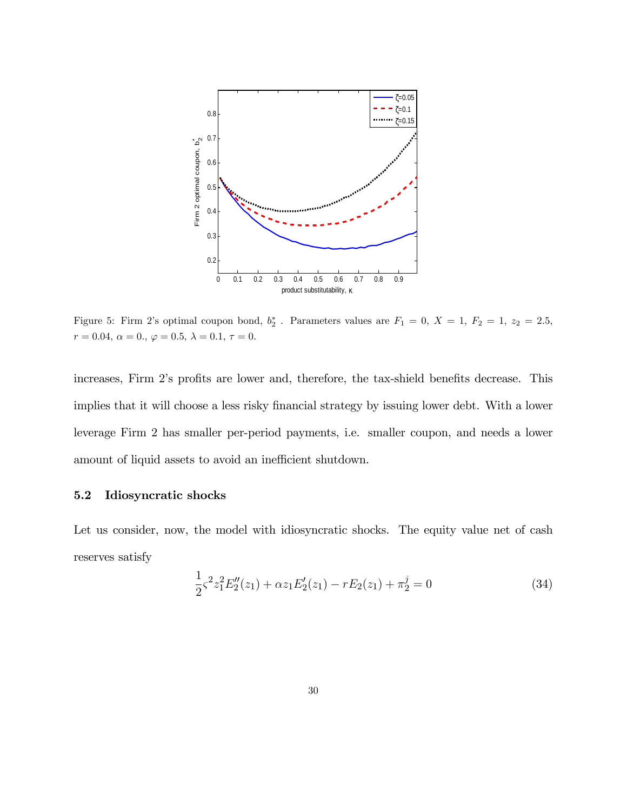

<span id="page-29-0"></span>Figure 5: Firm 2's optimal coupon bond,  $b_2^*$ . Parameters values are  $F_1 = 0$ ,  $X = 1$ ,  $F_2 = 1$ ,  $z_2 = 2.5$ ,  $r = 0.04,\, \alpha = 0.,\, \varphi = 0.5,\, \lambda = 0.1,\, \tau = 0.$ 

increases, Firm 2's profits are lower and, therefore, the tax-shield benefits decrease. This implies that it will choose a less risky financial strategy by issuing lower debt. With a lower leverage Firm 2 has smaller per-period payments, i.e. smaller coupon, and needs a lower amount of liquid assets to avoid an inefficient shutdown.

## 5.2 Idiosyncratic shocks

Let us consider, now, the model with idiosyncratic shocks. The equity value net of cash reserves satisfy

$$
\frac{1}{2}\varsigma^2 z_1^2 E_2''(z_1) + \alpha z_1 E_2'(z_1) - r E_2(z_1) + \pi_2^j = 0
$$
\n(34)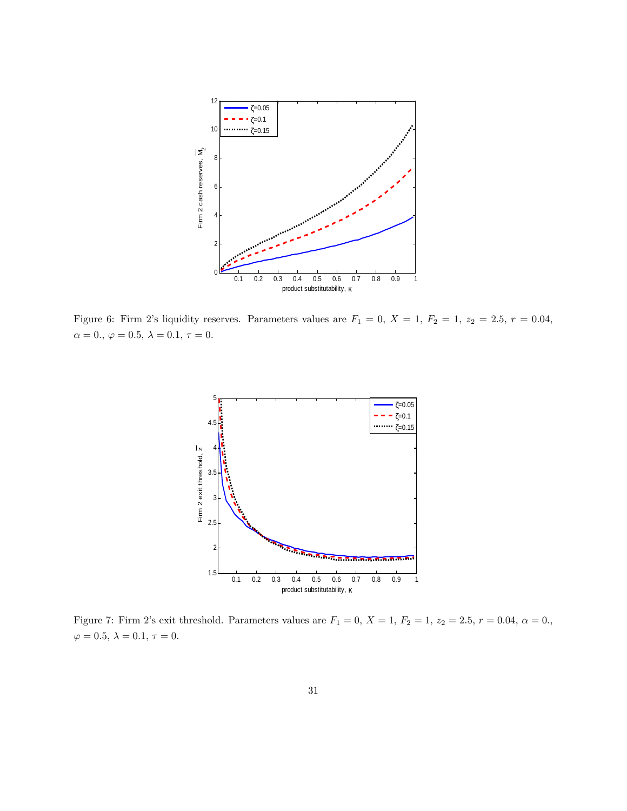

<span id="page-30-0"></span>Figure 6: Firm 2's liquidity reserves. Parameters values are  $F_1 = 0$ ,  $X = 1$ ,  $F_2 = 1$ ,  $z_2 = 2.5$ ,  $r = 0.04$ ,  $\alpha = 0., \, \varphi = 0.5, \, \lambda = 0.1, \, \tau = 0.$ 



<span id="page-30-1"></span>Figure 7: Firm 2's exit threshold. Parameters values are  $F_1 = 0, X = 1, F_2 = 1, z_2 = 2.5, r = 0.04, \alpha = 0.,$  $\varphi=0.5,\,\lambda=0.1,\,\tau=0.$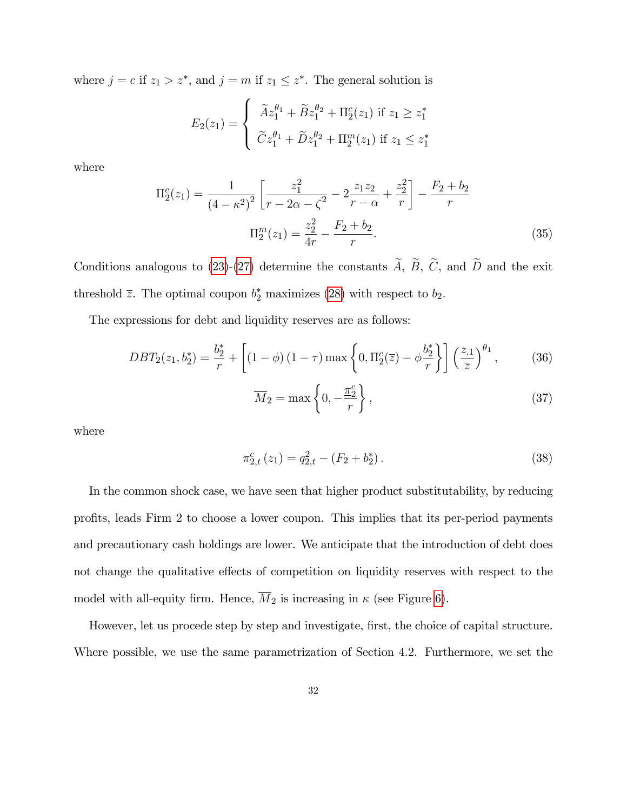where  $j = c$  if  $z_1 > z^*$ , and  $j = m$  if  $z_1 \leq z^*$ . The general solution is

$$
E_2(z_1) = \begin{cases} \tilde{A}z_1^{\theta_1} + \tilde{B}z_1^{\theta_2} + \Pi_2^c(z_1) \text{ if } z_1 \geq z_1^* \\ \tilde{C}z_1^{\theta_1} + \tilde{D}z_1^{\theta_2} + \Pi_2^m(z_1) \text{ if } z_1 \leq z_1^* \end{cases}
$$

where

$$
\Pi_2^c(z_1) = \frac{1}{(4 - \kappa^2)^2} \left[ \frac{z_1^2}{r - 2\alpha - \zeta^2} - 2\frac{z_1 z_2}{r - \alpha} + \frac{z_2^2}{r} \right] - \frac{F_2 + b_2}{r}
$$

$$
\Pi_2^m(z_1) = \frac{z_2^2}{4r} - \frac{F_2 + b_2}{r}.
$$
(35)

Conditions analogous to [\(23\)](#page-18-1)-[\(27\)](#page-19-0) determine the constants  $\widetilde{A}$ ,  $\widetilde{B}$ ,  $\widetilde{C}$ , and  $\widetilde{D}$  and the exit threshold  $\overline{z}$ . The optimal coupon  $b_2^*$  maximizes [\(28\)](#page-27-0) with respect to  $b_2$ .

The expressions for debt and liquidity reserves are as follows:

$$
DBT_2(z_1, b_2^*) = \frac{b_2^*}{r} + \left[ (1 - \phi)(1 - \tau) \max\left\{ 0, \Pi_2^c(\overline{z}) - \phi \frac{b_2^*}{r} \right\} \right] \left( \frac{z_1}{\overline{z}} \right)^{\theta_1},\tag{36}
$$

$$
\overline{M}_2 = \max\left\{0, -\frac{\pi_2^c}{r}\right\},\tag{37}
$$

where

$$
\pi_{2,t}^c(z_1) = q_{2,t}^2 - (F_2 + b_2^*).
$$
\n(38)

In the common shock case, we have seen that higher product substitutability, by reducing profits, leads Firm 2 to choose a lower coupon. This implies that its per-period payments and precautionary cash holdings are lower. We anticipate that the introduction of debt does not change the qualitative effects of competition on liquidity reserves with respect to the model with all-equity firm. Hence,  $\overline{M}_2$  is increasing in  $\kappa$  (see Figure [6](#page-30-0)).

However, let us procede step by step and investigate, first, the choice of capital structure. Where possible, we use the same parametrization of Section 4.2. Furthermore, we set the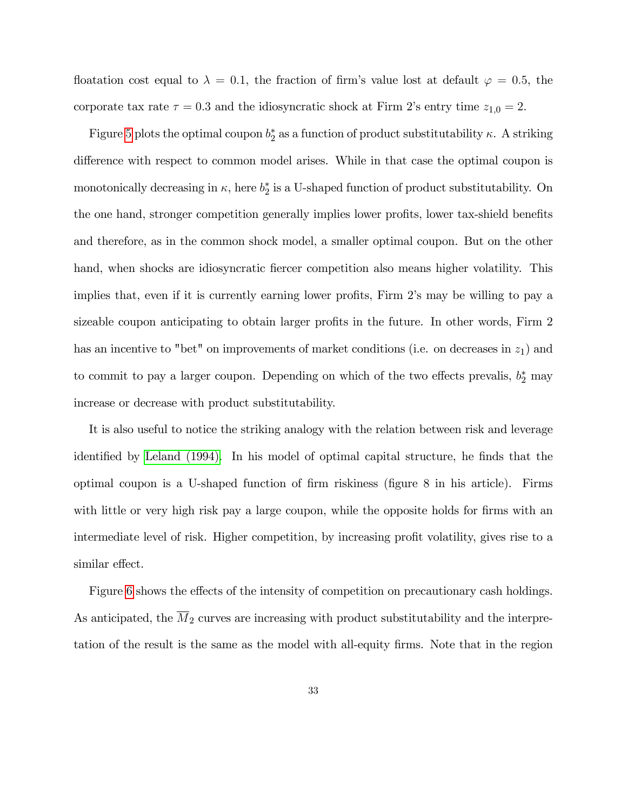floatation cost equal to  $\lambda = 0.1$ , the fraction of firm's value lost at default  $\varphi = 0.5$ , the corporate tax rate  $\tau = 0.3$  and the idiosyncratic shock at Firm 2's entry time  $z_{1,0} = 2$ .

Figure [5](#page-29-0) plots the optimal coupon  $b_2^*$  as a function of product substitutability  $\kappa$ . A striking difference with respect to common model arises. While in that case the optimal coupon is monotonically decreasing in  $\kappa$ , here  $b_2^*$  is a U-shaped function of product substitutability. On the one hand, stronger competition generally implies lower profits, lower tax-shield benefits and therefore, as in the common shock model, a smaller optimal coupon. But on the other hand, when shocks are idiosyncratic fiercer competition also means higher volatility. This implies that, even if it is currently earning lower profits, Firm 2's may be willing to pay a sizeable coupon anticipating to obtain larger profits in the future. In other words, Firm 2 has an incentive to "bet" on improvements of market conditions (i.e. on decreases in  $z_1$ ) and to commit to pay a larger coupon. Depending on which of the two effects prevalis,  $b_2^*$  may increase or decrease with product substitutability.

It is also useful to notice the striking analogy with the relation between risk and leverage identified by [Leland \(1994\).](#page-41-1) In his model of optimal capital structure, he finds that the optimal coupon is a U-shaped function of Örm riskiness (Ögure 8 in his article). Firms with little or very high risk pay a large coupon, while the opposite holds for firms with an intermediate level of risk. Higher competition, by increasing profit volatility, gives rise to a similar effect.

Figure [6](#page-30-0) shows the effects of the intensity of competition on precautionary cash holdings. As anticipated, the  $\overline{M}_2$  curves are increasing with product substitutability and the interpretation of the result is the same as the model with all-equity Örms. Note that in the region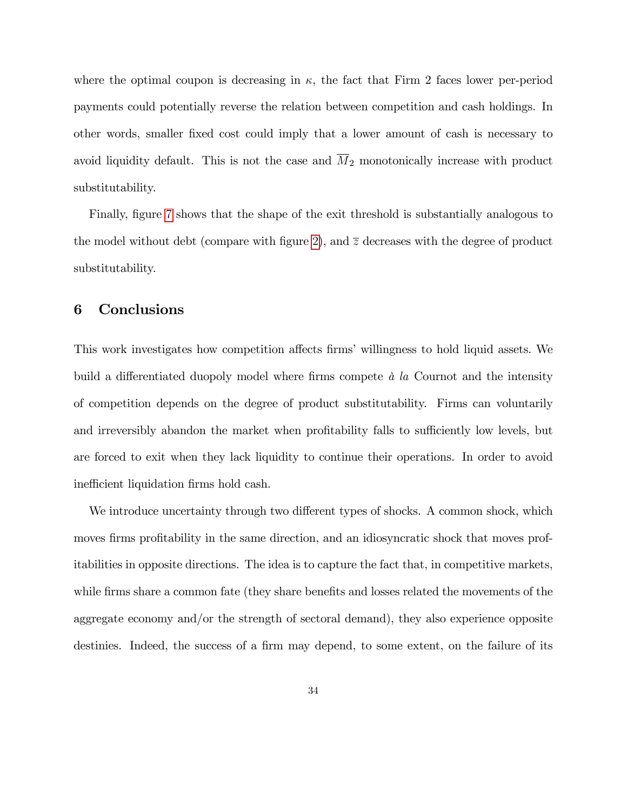where the optimal coupon is decreasing in  $\kappa$ , the fact that Firm 2 faces lower per-period payments could potentially reverse the relation between competition and cash holdings. In other words, smaller Öxed cost could imply that a lower amount of cash is necessary to avoid liquidity default. This is not the case and  $\overline{M}_2$  monotonically increase with product substitutability.

Finally, figure [7](#page-30-1) shows that the shape of the exit threshold is substantially analogous to the model without debt (compare with figure [2](#page-20-1)), and  $\overline{z}$  decreases with the degree of product substitutability.

# 6 Conclusions

This work investigates how competition affects firms' willingness to hold liquid assets. We build a differentiated duopoly model where firms compete  $\dot{a}$  la Cournot and the intensity of competition depends on the degree of product substitutability. Firms can voluntarily and irreversibly abandon the market when profitability falls to sufficiently low levels, but are forced to exit when they lack liquidity to continue their operations. In order to avoid inefficient liquidation firms hold cash.

We introduce uncertainty through two different types of shocks. A common shock, which moves firms profitability in the same direction, and an idiosyncratic shock that moves profitabilities in opposite directions. The idea is to capture the fact that, in competitive markets, while firms share a common fate (they share benefits and losses related the movements of the aggregate economy and/or the strength of sectoral demand), they also experience opposite destinies. Indeed, the success of a firm may depend, to some extent, on the failure of its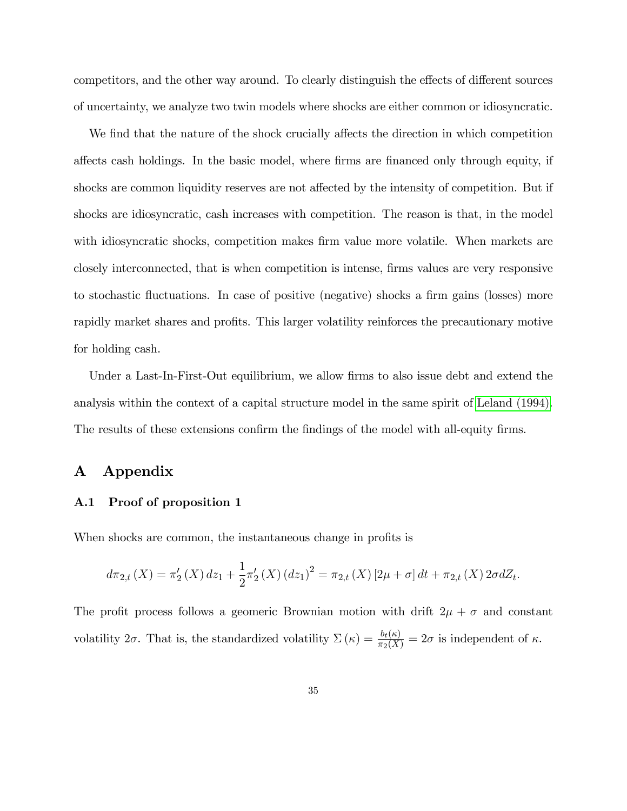competitors, and the other way around. To clearly distinguish the effects of different sources of uncertainty, we analyze two twin models where shocks are either common or idiosyncratic.

We find that the nature of the shock crucially affects the direction in which competition affects cash holdings. In the basic model, where firms are financed only through equity, if shocks are common liquidity reserves are not affected by the intensity of competition. But if shocks are idiosyncratic, cash increases with competition. The reason is that, in the model with idiosyncratic shocks, competition makes firm value more volatile. When markets are closely interconnected, that is when competition is intense, Örms values are very responsive to stochastic fluctuations. In case of positive (negative) shocks a firm gains (losses) more rapidly market shares and profits. This larger volatility reinforces the precautionary motive for holding cash.

Under a Last-In-First-Out equilibrium, we allow firms to also issue debt and extend the analysis within the context of a capital structure model in the same spirit of [Leland \(1994\).](#page-41-1) The results of these extensions confirm the findings of the model with all-equity firms.

# A Appendix

#### A.1 Proof of proposition 1

When shocks are common, the instantaneous change in profits is

$$
d\pi_{2,t}(X) = \pi'_2(X) dz_1 + \frac{1}{2}\pi'_2(X) (dz_1)^2 = \pi_{2,t}(X) [2\mu + \sigma] dt + \pi_{2,t}(X) 2\sigma dZ_t.
$$

The profit process follows a geomeric Brownian motion with drift  $2\mu + \sigma$  and constant volatility  $2\sigma$ . That is, the standardized volatility  $\Sigma(\kappa) = \frac{b_t(\kappa)}{\pi_2(X)} = 2\sigma$  is independent of  $\kappa$ .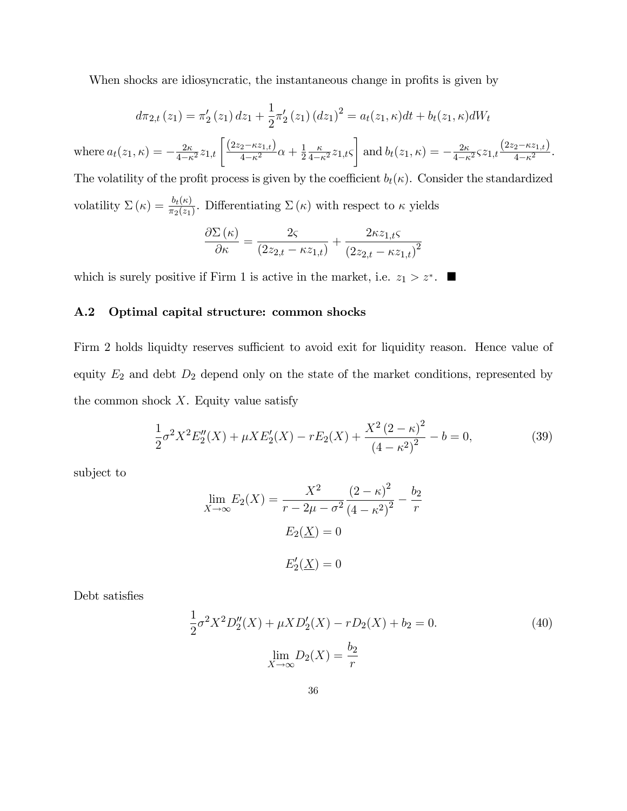When shocks are idiosyncratic, the instantaneous change in profits is given by

$$
d\pi_{2,t}(z_1) = \pi'_2(z_1) dz_1 + \frac{1}{2}\pi'_2(z_1) (dz_1)^2 = a_t(z_1, \kappa) dt + b_t(z_1, \kappa) dW_t
$$

where  $a_t(z_1, \kappa) = -\frac{2\kappa}{4-\kappa^2} z_{1,t} \left[ \frac{(2z_2 - \kappa z_{1,t})}{4-\kappa^2} \alpha + \frac{1}{2} \right]$  $\overline{2}$  $rac{\kappa}{4-\kappa^2}z_{1,t}$ 1 and  $b_t(z_1, \kappa) = -\frac{2\kappa}{4-\kappa}$  $\frac{2\kappa}{4-\kappa^2}$ *s*  $z_{1,t}$  $\frac{\left(2z_2-\kappa z_{1,t}\right)}{4-\kappa^2}$  $rac{2-\kappa^2}{4-\kappa^2}$ . The volatility of the profit process is given by the coefficient  $b_t(\kappa)$ . Consider the standardized

volatility  $\Sigma(\kappa) = \frac{b_t(\kappa)}{\pi_2(z_1)}$ . Differentiating  $\Sigma(\kappa)$  with respect to  $\kappa$  yields

$$
\frac{\partial \Sigma(\kappa)}{\partial \kappa} = \frac{2\varsigma}{(2z_{2,t} - \kappa z_{1,t})} + \frac{2\kappa z_{1,t}\varsigma}{(2z_{2,t} - \kappa z_{1,t})^2}
$$

which is surely positive if Firm 1 is active in the market, i.e.  $z_1 > z^*$ .

#### A.2 Optimal capital structure: common shocks

Firm 2 holds liquidty reserves sufficient to avoid exit for liquidity reason. Hence value of equity  $E_2$  and debt  $D_2$  depend only on the state of the market conditions, represented by the common shock  $X$ . Equity value satisfy

$$
\frac{1}{2}\sigma^2 X^2 E_2''(X) + \mu X E_2'(X) - r E_2(X) + \frac{X^2 (2 - \kappa)^2}{(4 - \kappa^2)^2} - b = 0,
$$
\n(39)

subject to

$$
\lim_{X \to \infty} E_2(X) = \frac{X^2}{r - 2\mu - \sigma^2} \frac{(2 - \kappa)^2}{(4 - \kappa^2)^2} - \frac{b_2}{r}
$$

$$
E_2(\underline{X}) = 0
$$

$$
E_2'(\underline{X}) = 0
$$

Debt satisfies

$$
\frac{1}{2}\sigma^2 X^2 D_2''(X) + \mu X D_2'(X) - r D_2(X) + b_2 = 0.
$$
\n
$$
\lim_{X \to \infty} D_2(X) = \frac{b_2}{r}
$$
\n(40)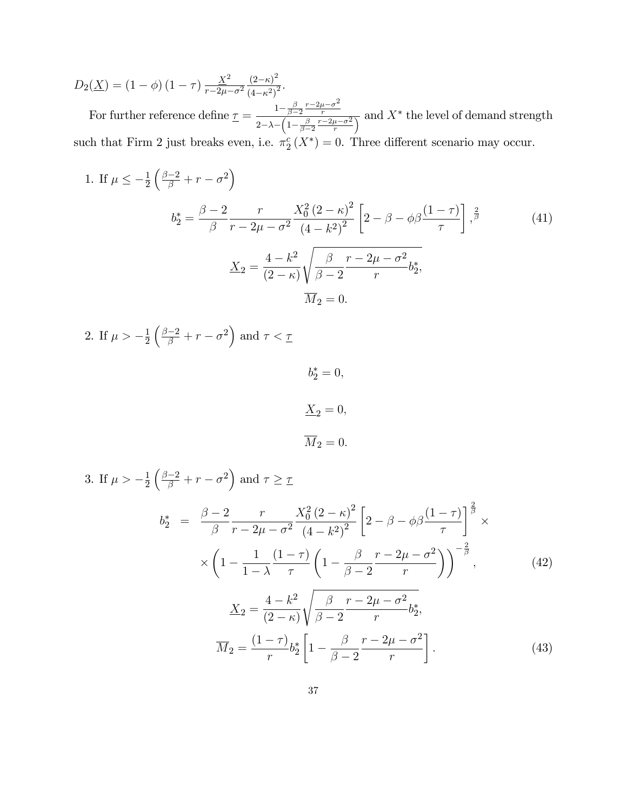$D_2(\underline{X}) = (1 - \phi) (1 - \tau) \frac{\underline{X}^2}{r - 2\mu}$  $\overline{r-2\mu-\sigma^2}$  $\frac{(2-\kappa)^2}{2}$  $\frac{(2-\kappa)}{(4-\kappa^2)^2}.$ 

For further reference define  $\underline{\tau} = \frac{1 - \frac{\beta}{\beta - 2} \frac{r - 2\mu - \sigma^2}{r}}{1 - \frac{\beta}{\beta - 2} \frac{r - 2\mu - \sigma^2}{r}}$ r  $\frac{1}{2-\lambda-\left(1-\frac{\beta}{\beta-2}\frac{r-2\mu-\sigma^2}{r}\right)}$  and  $X^*$  the level of demand strength such that Firm 2 just breaks even, i.e.  $\pi_2^c(X^*)=0$ . Three different scenario may occur.

1. If 
$$
\mu \le -\frac{1}{2} \left( \frac{\beta - 2}{\beta} + r - \sigma^2 \right)
$$
  
\n
$$
b_2^* = \frac{\beta - 2}{\beta} \frac{r}{r - 2\mu - \sigma^2} \frac{X_0^2 (2 - \kappa)^2}{(4 - k^2)^2} \left[ 2 - \beta - \phi \beta \frac{(1 - \tau)}{\tau} \right], \frac{2}{\beta}
$$
\n
$$
\frac{X_2}{1} = \frac{4 - k^2}{(2 - \kappa)} \sqrt{\frac{\beta}{\beta - 2} \frac{r - 2\mu - \sigma^2}{r} b_2^*}, \frac{X_0^2}{1} = 0.
$$
\n(41)

2. If  $\mu > -\frac{1}{2}$ 2  $\left(\frac{\beta-2}{\beta}+r-\sigma^2\right)$  and  $\tau < \tau$ 

```
b_2^* = 0,\underline{X}_2 = 0,\overline{M}_2 = 0.
```
<span id="page-36-0"></span>3. If 
$$
\mu > -\frac{1}{2} \left( \frac{\beta - 2}{\beta} + r - \sigma^2 \right)
$$
 and  $\tau \ge \tau$   
\n
$$
b_2^* = \frac{\beta - 2}{\beta} \frac{r}{r - 2\mu - \sigma^2} \frac{X_0^2 (2 - \kappa)^2}{(4 - \kappa^2)^2} \left[ 2 - \beta - \phi \beta \frac{(1 - \tau)}{\tau} \right]^{\frac{2}{\beta}} \times \left( 1 - \frac{1}{1 - \lambda} \frac{(1 - \tau)}{\tau} \left( 1 - \frac{\beta}{\beta - 2} \frac{r - 2\mu - \sigma^2}{r} \right) \right)^{-\frac{2}{\beta}}, \qquad (42)
$$
\n
$$
\frac{X_2}{\mu} = \frac{4 - k^2}{(2 - \kappa)} \sqrt{\frac{\beta}{\beta - 2} \frac{r - 2\mu - \sigma^2}{r} b_2^*,}
$$
\n
$$
\overline{M}_2 = \frac{(1 - \tau)}{r} b_2^* \left[ 1 - \frac{\beta}{\beta - 2} \frac{r - 2\mu - \sigma^2}{r} \right]. \qquad (43)
$$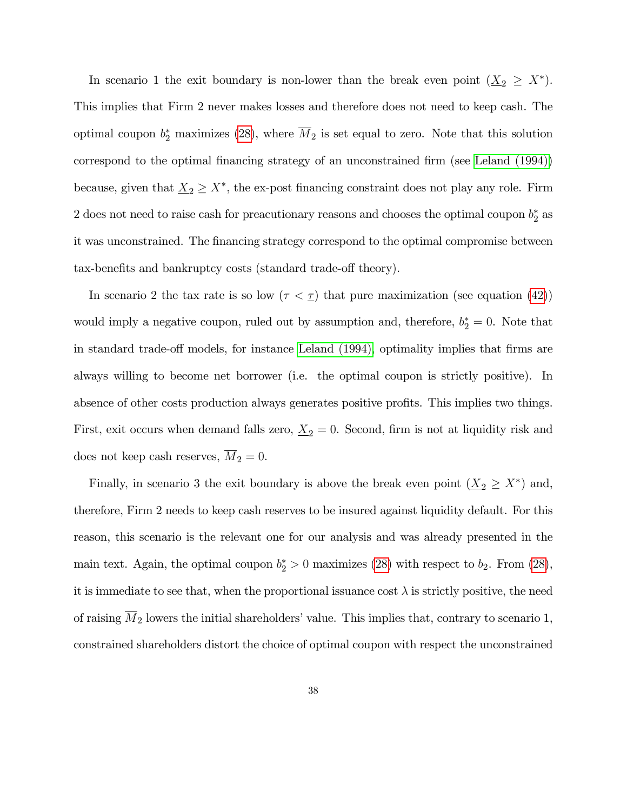In scenario 1 the exit boundary is non-lower than the break even point  $(\underline{X}_2 \geq X^*)$ . This implies that Firm 2 never makes losses and therefore does not need to keep cash. The optimal coupon  $b_2^*$  maximizes [\(28\)](#page-27-0), where  $M_2$  is set equal to zero. Note that this solution correspond to the optimal financing strategy of an unconstrained firm (see [Leland \(1994\)\)](#page-41-1) because, given that  $\underline{X}_2 \geq X^*$ , the ex-post financing constraint does not play any role. Firm 2 does not need to raise cash for preacutionary reasons and chooses the optimal coupon  $b_2^*$  as it was unconstrained. The financing strategy correspond to the optimal compromise between tax-benefits and bankruptcy costs (standard trade-off theory).

In scenario 2 the tax rate is so low  $(\tau < \tau)$  that pure maximization (see equation [\(42\)](#page-36-0)) would imply a negative coupon, ruled out by assumption and, therefore,  $b_2^* = 0$ . Note that in standard trade-off models, for instance [Leland \(1994\),](#page-41-1) optimality implies that firms are always willing to become net borrower (i.e. the optimal coupon is strictly positive). In absence of other costs production always generates positive profits. This implies two things. First, exit occurs when demand falls zero,  $\underline{X}_2 = 0$ . Second, firm is not at liquidity risk and does not keep cash reserves,  $\overline{M}_2 = 0$ .

Finally, in scenario 3 the exit boundary is above the break even point  $(\underline{X}_2 \geq X^*)$  and, therefore, Firm 2 needs to keep cash reserves to be insured against liquidity default. For this reason, this scenario is the relevant one for our analysis and was already presented in the main text. Again, the optimal coupon  $b_2^* > 0$  maximizes [\(28\)](#page-27-0) with respect to  $b_2$ . From (28), it is immediate to see that, when the proportional issuance cost  $\lambda$  is strictly positive, the need of raising  $M_2$  lowers the initial shareholders' value. This implies that, contrary to scenario 1, constrained shareholders distort the choice of optimal coupon with respect the unconstrained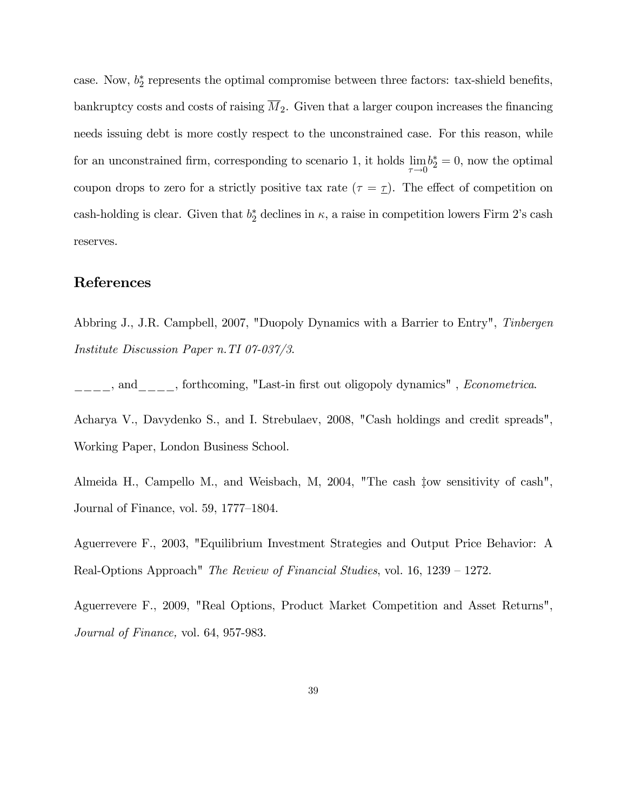case. Now,  $b_2^*$  represents the optimal compromise between three factors: tax-shield benefits, bankruptcy costs and costs of raising  $\overline{M}_2$ . Given that a larger coupon increases the financing needs issuing debt is more costly respect to the unconstrained case. For this reason, while for an unconstrained firm, corresponding to scenario 1, it holds lim  $\tau \rightarrow 0$  $b_2^* = 0$ , now the optimal coupon drops to zero for a strictly positive tax rate  $(\tau = \tau)$ . The effect of competition on cash-holding is clear. Given that  $b_2^*$  declines in  $\kappa$ , a raise in competition lowers Firm 2's cash reserves.

## References

<span id="page-38-1"></span>Abbring J., J.R. Campbell, 2007, "Duopoly Dynamics with a Barrier to Entry", Tinbergen Institute Discussion Paper n.TI 07-037/3.

\_\_\_\_, and\_\_\_\_, forthcoming, "Last-in first out oligopoly dynamics", Econometrica.

Acharya V., Davydenko S., and I. Strebulaev, 2008, "Cash holdings and credit spreads", Working Paper, London Business School.

Almeida H., Campello M., and Weisbach, M, 2004, "The cash  $\downarrow$ ow sensitivity of cash", Journal of Finance, vol.  $59, 1777-1804$ .

<span id="page-38-0"></span>Aguerrevere F., 2003, "Equilibrium Investment Strategies and Output Price Behavior: A Real-Options Approach" The Review of Financial Studies, vol.  $16, 1239 - 1272$ .

Aguerrevere F., 2009, "Real Options, Product Market Competition and Asset Returns", Journal of Finance, vol. 64, 957-983.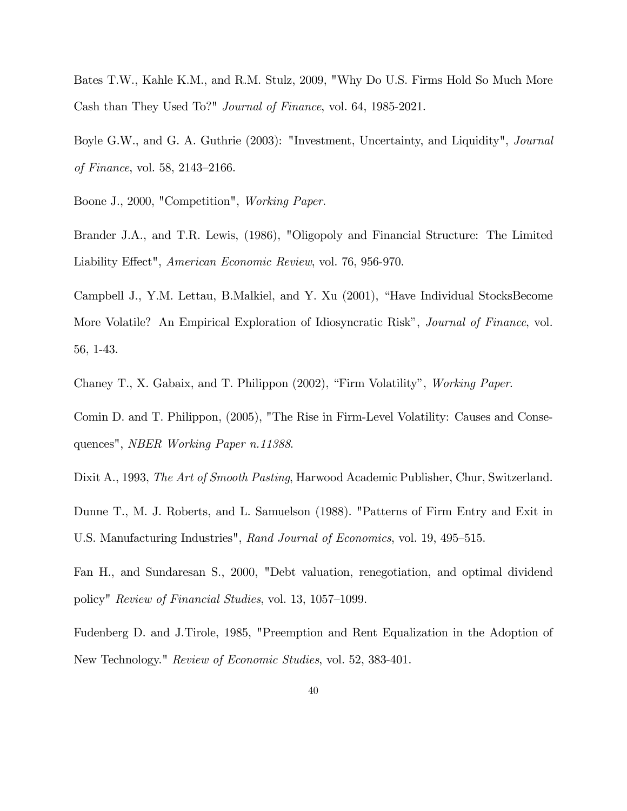<span id="page-39-0"></span>Bates T.W., Kahle K.M., and R.M. Stulz, 2009, "Why Do U.S. Firms Hold So Much More Cash than They Used To?" Journal of Finance, vol. 64, 1985-2021.

<span id="page-39-4"></span>Boyle G.W., and G. A. Guthrie (2003): "Investment, Uncertainty, and Liquidity", Journal of Finance, vol. 58,  $2143-2166$ .

<span id="page-39-9"></span><span id="page-39-7"></span>Boone J., 2000, "Competition", Working Paper.

Brander J.A., and T.R. Lewis, (1986), "Oligopoly and Financial Structure: The Limited Liability Effect", American Economic Review, vol. 76, 956-970.

<span id="page-39-1"></span>Campbell J., Y.M. Lettau, B.Malkiel, and Y. Xu (2001), "Have Individual StocksBecome More Volatile? An Empirical Exploration of Idiosyncratic Risk", *Journal of Finance*, vol. 56, 1-43.

<span id="page-39-3"></span><span id="page-39-2"></span>Chaney T., X. Gabaix, and T. Philippon  $(2002)$ , "Firm Volatility", *Working Paper.* 

Comin D. and T. Philippon, (2005), "The Rise in Firm-Level Volatility: Causes and Consequences", NBER Working Paper n.11388.

<span id="page-39-8"></span>Dixit A., 1993, The Art of Smooth Pasting, Harwood Academic Publisher, Chur, Switzerland.

Dunne T., M. J. Roberts, and L. Samuelson (1988). "Patterns of Firm Entry and Exit in U.S. Manufacturing Industries", Rand Journal of Economics, vol. 19, 495–515.

<span id="page-39-6"></span>Fan H., and Sundaresan S., 2000, "Debt valuation, renegotiation, and optimal dividend policy" Review of Financial Studies, vol. 13, 1057–1099.

<span id="page-39-5"></span>Fudenberg D. and J.Tirole, 1985, "Preemption and Rent Equalization in the Adoption of New Technology." Review of Economic Studies, vol. 52, 383-401.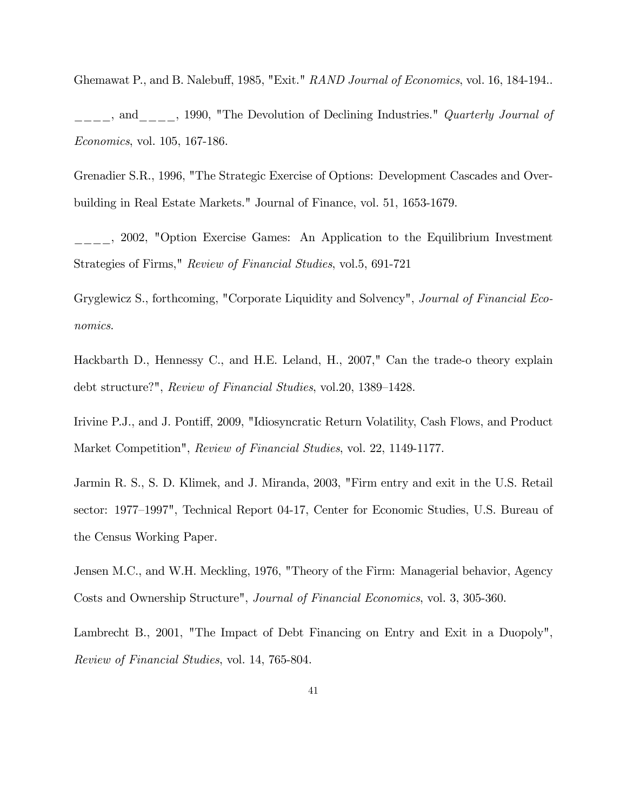<span id="page-40-1"></span>Ghemawat P., and B. Nalebuff, 1985, "Exit." RAND Journal of Economics, vol. 16, 184-194..

decreased and the 1990, "The Devolution of Declining Industries." *Quarterly Journal of* Economics, vol. 105, 167-186.

<span id="page-40-3"></span>Grenadier S.R., 1996, "The Strategic Exercise of Options: Development Cascades and Overbuilding in Real Estate Markets." Journal of Finance, vol. 51, 1653-1679.

\_\_\_\_, 2002, "Option Exercise Games: An Application to the Equilibrium Investment Strategies of Firms," Review of Financial Studies, vol.5, 691-721

<span id="page-40-6"></span>Gryglewicz S., forthcoming, "Corporate Liquidity and Solvency", Journal of Financial Economics.

<span id="page-40-4"></span>Hackbarth D., Hennessy C., and H.E. Leland, H., 2007," Can the trade-o theory explain debt structure?", Review of Financial Studies, vol.20, 1389–1428.

<span id="page-40-0"></span>Irivine P.J., and J. Pontiff, 2009, "Idiosyncratic Return Volatility, Cash Flows, and Product Market Competition", Review of Financial Studies, vol. 22, 1149-1177.

<span id="page-40-7"></span>Jarmin R. S., S. D. Klimek, and J. Miranda, 2003, "Firm entry and exit in the U.S. Retail sector: 1977–1997", Technical Report 04-17, Center for Economic Studies, U.S. Bureau of the Census Working Paper.

<span id="page-40-5"></span>Jensen M.C., and W.H. Meckling, 1976, "Theory of the Firm: Managerial behavior, Agency Costs and Ownership Structure", Journal of Financial Economics, vol. 3, 305-360.

<span id="page-40-2"></span>Lambrecht B., 2001, "The Impact of Debt Financing on Entry and Exit in a Duopoly", Review of Financial Studies, vol. 14, 765-804.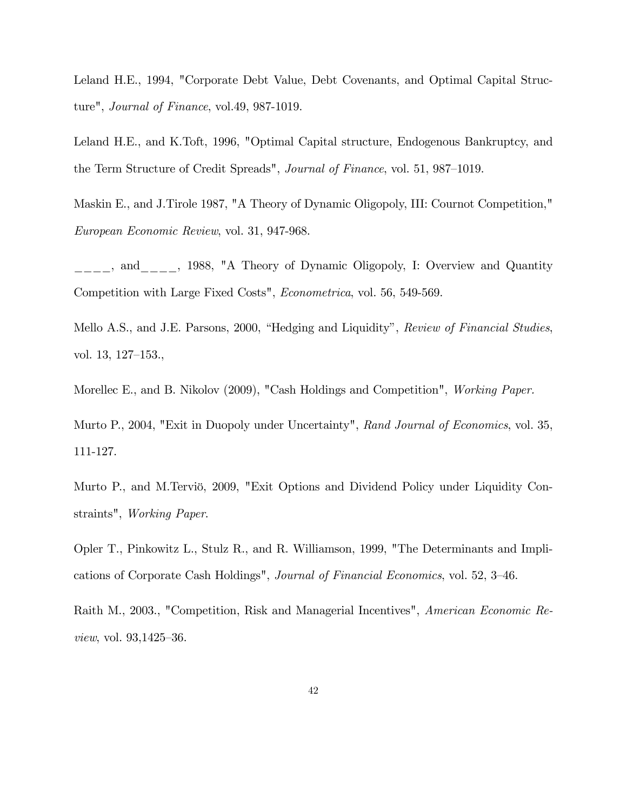<span id="page-41-1"></span>Leland H.E., 1994, "Corporate Debt Value, Debt Covenants, and Optimal Capital Structure", Journal of Finance, vol.49, 987-1019.

<span id="page-41-5"></span>Leland H.E., and K.Toft, 1996, "Optimal Capital structure, Endogenous Bankruptcy, and the Term Structure of Credit Spreads", Journal of Finance, vol. 51, 987–1019.

<span id="page-41-6"></span>Maskin E., and J.Tirole 1987, "A Theory of Dynamic Oligopoly, III: Cournot Competition," European Economic Review, vol. 31, 947-968.

\_\_\_\_, and\_\_\_\_, 1988, "A Theory of Dynamic Oligopoly, I: Overview and Quantity Competition with Large Fixed Costs", Econometrica, vol. 56, 549-569.

<span id="page-41-7"></span>Mello A.S., and J.E. Parsons, 2000, "Hedging and Liquidity", Review of Financial Studies, vol. 13, 127-153.,

<span id="page-41-4"></span><span id="page-41-2"></span>Morellec E., and B. Nikolov (2009), "Cash Holdings and Competition", *Working Paper.* 

Murto P., 2004, "Exit in Duopoly under Uncertainty", Rand Journal of Economics, vol. 35, 111-127.

<span id="page-41-3"></span>Murto P., and M.Terviö, 2009, "Exit Options and Dividend Policy under Liquidity Constraints", Working Paper.

<span id="page-41-0"></span>Opler T., Pinkowitz L., Stulz R., and R. Williamson, 1999, "The Determinants and Implications of Corporate Cash Holdings", *Journal of Financial Economics*, vol. 52, 3–46.

<span id="page-41-8"></span>Raith M., 2003., "Competition, Risk and Managerial Incentives", American Economic Re*view*, vol.  $93,1425-36$ .